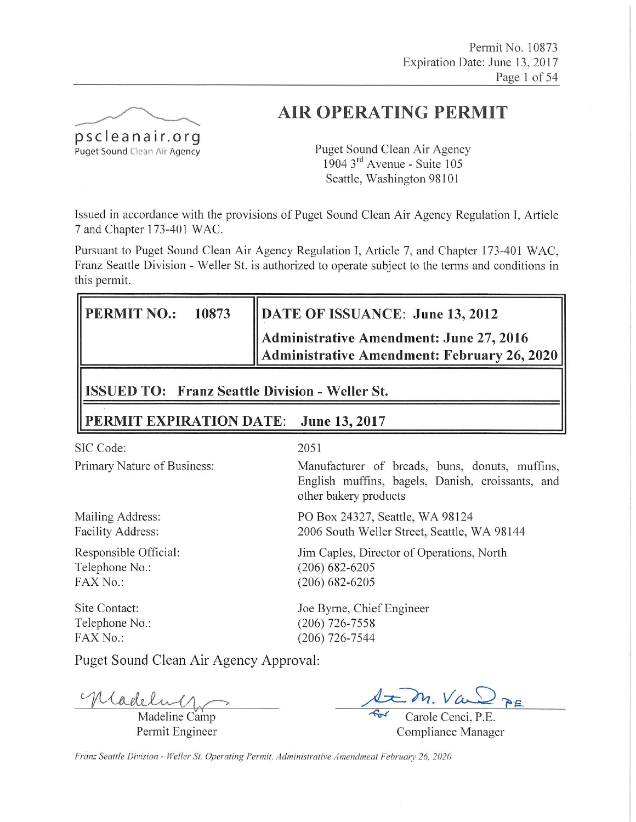

# **AIR OPERATING PERMIT**

Puget Sound Clean Air Agency  $1904$  3<sup>rd</sup> Avenue - Suite 105 Seattle, Washington 98101

Issued in accordance with the provisions of Puget Sound Clean Air Agency Regulation I, Article 7 and Chapter 173-401 WAC.

Pursuant to Puget Sound Clean Air Agency Regulation I, Article 7, and Chapter 173-401 WAC, Franz Seattle Division - Weller St. is authorized to operate subject to the terms and conditions in this permit.

| <b>PERMIT NO.:</b><br>10873                           | DATE OF ISSUANCE: June 13, 2012                                                        |  |  |  |  |  |
|-------------------------------------------------------|----------------------------------------------------------------------------------------|--|--|--|--|--|
|                                                       | Administrative Amendment: June 27, 2016<br>Administrative Amendment: February 26, 2020 |  |  |  |  |  |
| <b>ISSUED TO: Franz Seattle Division - Weller St.</b> |                                                                                        |  |  |  |  |  |

#### PERMIT EXPIRATION DATE: June 13, 2017

SIC Code:

Primary Nature of Business:

Mailing Address: Facility Address:

Responsible Official: Telephone No.:  $FAX No.$ 

**Site Contact:** Telephone No.: FAX No.:

#### 2051

Manufacturer of breads, buns, donuts, muffins, English muffins, bagels, Danish, croissants, and other bakery products

PO Box 24327, Seattle, WA 98124 2006 South Weller Street, Seattle, WA 98144

Jim Caples, Director of Operations, North  $(206) 682 - 6205$  $(206) 682 - 6205$ 

Joe Byrne, Chief Engineer  $(206)$  726-7558  $(206)$  726-7544

Puget Sound Clean Air Agency Approval:

Madelin

Madeline Camp Permit Engineer

 $\overline{A}$ 

Carole Cenci, P.E. Compliance Manager

Franz Seattle Division - Weller St. Operating Permit, Administrative Amendment February 26, 2020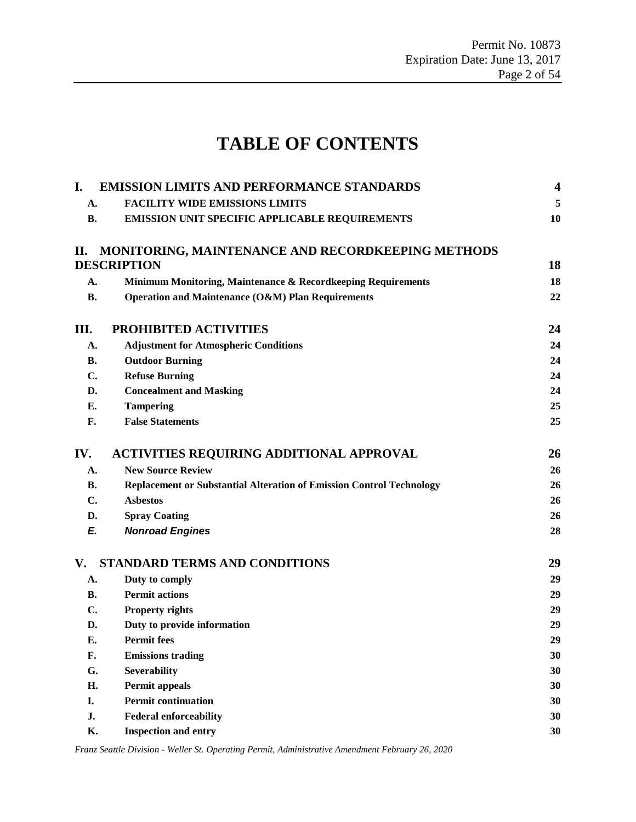# **TABLE OF CONTENTS**

| I.             | <b>EMISSION LIMITS AND PERFORMANCE STANDARDS</b>                            | $\overline{\mathbf{4}}$ |
|----------------|-----------------------------------------------------------------------------|-------------------------|
| A.             | <b>FACILITY WIDE EMISSIONS LIMITS</b>                                       | 5                       |
| <b>B.</b>      | <b>EMISSION UNIT SPECIFIC APPLICABLE REQUIREMENTS</b>                       | 10                      |
| П.             | <b>MONITORING, MAINTENANCE AND RECORDKEEPING METHODS</b>                    |                         |
|                | <b>DESCRIPTION</b>                                                          | 18                      |
| A.             | Minimum Monitoring, Maintenance & Recordkeeping Requirements                | 18                      |
| <b>B.</b>      | Operation and Maintenance (O&M) Plan Requirements                           | 22                      |
| Ш.             | PROHIBITED ACTIVITIES                                                       | 24                      |
| A.             | <b>Adjustment for Atmospheric Conditions</b>                                | 24                      |
| <b>B.</b>      | <b>Outdoor Burning</b>                                                      | 24                      |
| $\mathbf{C}$ . | <b>Refuse Burning</b>                                                       | 24                      |
| D.             | <b>Concealment and Masking</b>                                              | 24                      |
| Е.             | <b>Tampering</b>                                                            | 25                      |
| F.             | <b>False Statements</b>                                                     | 25                      |
| IV.            | <b>ACTIVITIES REQUIRING ADDITIONAL APPROVAL</b>                             | 26                      |
| A.             | <b>New Source Review</b>                                                    | 26                      |
| В.             | <b>Replacement or Substantial Alteration of Emission Control Technology</b> | 26                      |
| $\mathbf{C}$ . | <b>Asbestos</b>                                                             | 26                      |
| D.             | <b>Spray Coating</b>                                                        | 26                      |
| E.             | <b>Nonroad Engines</b>                                                      | 28                      |
| V.             | <b>STANDARD TERMS AND CONDITIONS</b>                                        | 29                      |
| A.             | Duty to comply                                                              | 29                      |
| <b>B.</b>      | <b>Permit actions</b>                                                       | 29                      |
| C.             | <b>Property rights</b>                                                      | 29                      |
| D.             | Duty to provide information                                                 | 29                      |
| Е.             | <b>Permit fees</b>                                                          | 29                      |
| F.             | <b>Emissions trading</b>                                                    | 30                      |
| G.             | <b>Severability</b>                                                         | 30                      |
| H.             | <b>Permit appeals</b>                                                       | 30                      |
| I.             | <b>Permit continuation</b>                                                  | 30                      |
| J.             | <b>Federal enforceability</b>                                               | 30                      |
| <b>K.</b>      | <b>Inspection and entry</b>                                                 | 30                      |

*Franz Seattle Division - Weller St. Operating Permit, Administrative Amendment February 26, 2020*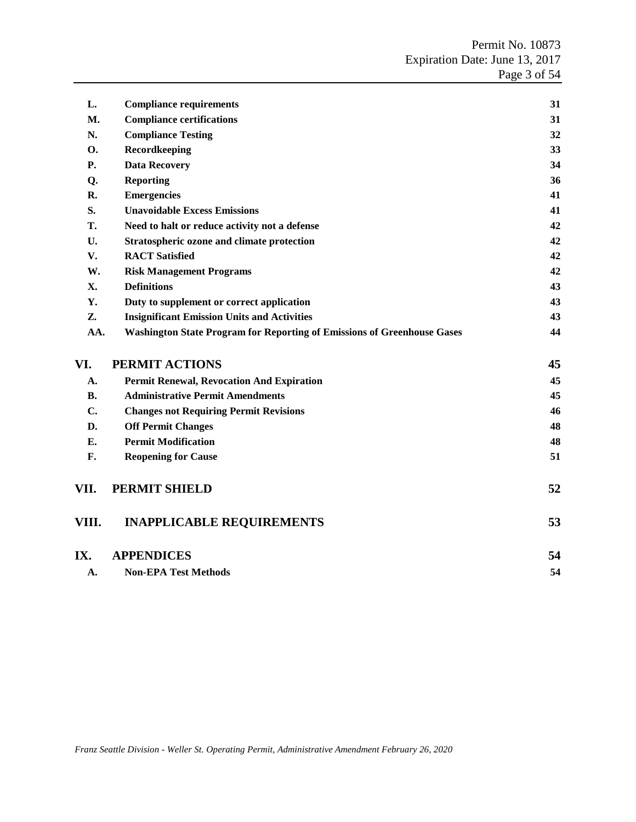| L.         | <b>Compliance requirements</b>                                                 | 31 |
|------------|--------------------------------------------------------------------------------|----|
| M.         | <b>Compliance certifications</b>                                               | 31 |
| N.         | <b>Compliance Testing</b>                                                      | 32 |
| <b>O.</b>  | Recordkeeping                                                                  | 33 |
| Р.         | <b>Data Recovery</b>                                                           | 34 |
| Q.         | <b>Reporting</b>                                                               | 36 |
| R.         | <b>Emergencies</b>                                                             | 41 |
| S.         | <b>Unavoidable Excess Emissions</b>                                            | 41 |
| T.         | Need to halt or reduce activity not a defense                                  | 42 |
| U.         | Stratospheric ozone and climate protection                                     | 42 |
| V.         | <b>RACT</b> Satisfied                                                          | 42 |
| W.         | <b>Risk Management Programs</b>                                                | 42 |
| <b>X</b> . | <b>Definitions</b>                                                             | 43 |
| Y.         | Duty to supplement or correct application                                      | 43 |
| Z.         | <b>Insignificant Emission Units and Activities</b>                             | 43 |
| AA.        | <b>Washington State Program for Reporting of Emissions of Greenhouse Gases</b> | 44 |
| VI.        | PERMIT ACTIONS                                                                 | 45 |
| A.         | <b>Permit Renewal, Revocation And Expiration</b>                               | 45 |
| <b>B.</b>  | <b>Administrative Permit Amendments</b>                                        | 45 |
| C.         | <b>Changes not Requiring Permit Revisions</b>                                  | 46 |
| D.         | <b>Off Permit Changes</b>                                                      | 48 |
| Е.         | <b>Permit Modification</b>                                                     | 48 |
| F.         | <b>Reopening for Cause</b>                                                     | 51 |
| VII.       | PERMIT SHIELD                                                                  | 52 |
| VIII.      | <b>INAPPLICABLE REQUIREMENTS</b>                                               | 53 |
| IX.        | <b>APPENDICES</b>                                                              | 54 |
| А.         | <b>Non-EPA Test Methods</b>                                                    | 54 |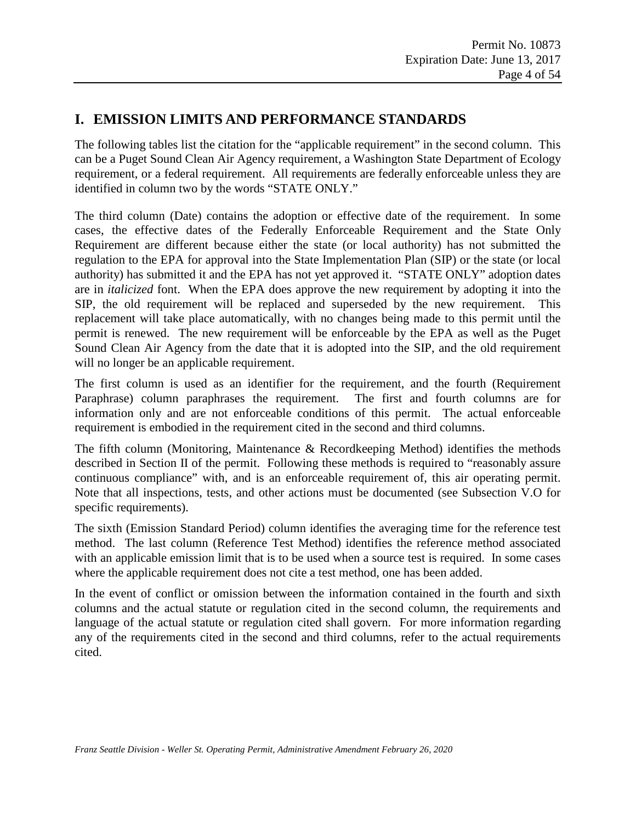### <span id="page-3-0"></span>**I. EMISSION LIMITS AND PERFORMANCE STANDARDS**

The following tables list the citation for the "applicable requirement" in the second column. This can be a Puget Sound Clean Air Agency requirement, a Washington State Department of Ecology requirement, or a federal requirement. All requirements are federally enforceable unless they are identified in column two by the words "STATE ONLY."

The third column (Date) contains the adoption or effective date of the requirement. In some cases, the effective dates of the Federally Enforceable Requirement and the State Only Requirement are different because either the state (or local authority) has not submitted the regulation to the EPA for approval into the State Implementation Plan (SIP) or the state (or local authority) has submitted it and the EPA has not yet approved it. "STATE ONLY" adoption dates are in *italicized* font. When the EPA does approve the new requirement by adopting it into the SIP, the old requirement will be replaced and superseded by the new requirement. This replacement will take place automatically, with no changes being made to this permit until the permit is renewed. The new requirement will be enforceable by the EPA as well as the Puget Sound Clean Air Agency from the date that it is adopted into the SIP, and the old requirement will no longer be an applicable requirement.

The first column is used as an identifier for the requirement, and the fourth (Requirement Paraphrase) column paraphrases the requirement. The first and fourth columns are for information only and are not enforceable conditions of this permit. The actual enforceable requirement is embodied in the requirement cited in the second and third columns.

The fifth column (Monitoring, Maintenance & Recordkeeping Method) identifies the methods described in Section II of the permit. Following these methods is required to "reasonably assure continuous compliance" with, and is an enforceable requirement of, this air operating permit. Note that all inspections, tests, and other actions must be documented (see Subsection V.O for specific requirements).

The sixth (Emission Standard Period) column identifies the averaging time for the reference test method. The last column (Reference Test Method) identifies the reference method associated with an applicable emission limit that is to be used when a source test is required. In some cases where the applicable requirement does not cite a test method, one has been added.

In the event of conflict or omission between the information contained in the fourth and sixth columns and the actual statute or regulation cited in the second column, the requirements and language of the actual statute or regulation cited shall govern. For more information regarding any of the requirements cited in the second and third columns, refer to the actual requirements cited.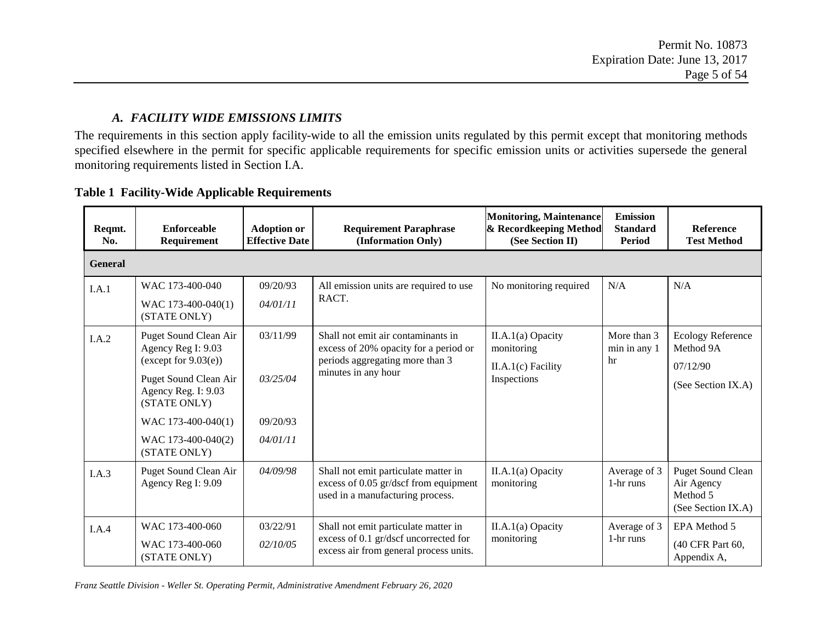#### *A. FACILITY WIDE EMISSIONS LIMITS*

The requirements in this section apply facility-wide to all the emission units regulated by this permit except that monitoring methods specified elsewhere in the permit for specific applicable requirements for specific emission units or activities supersede the general monitoring requirements listed in Section I.A.

<span id="page-4-0"></span>

| Reqmt.<br>No.  | <b>Enforceable</b><br>Requirement                                                                                                                                                                  | <b>Adoption or</b><br><b>Effective Date</b>  | <b>Requirement Paraphrase</b><br>(Information Only)                                                                                   | <b>Monitoring, Maintenance</b><br>& Recordkeeping Method<br>(See Section II) | <b>Emission</b><br><b>Standard</b><br>Period | <b>Reference</b><br><b>Test Method</b>                                   |
|----------------|----------------------------------------------------------------------------------------------------------------------------------------------------------------------------------------------------|----------------------------------------------|---------------------------------------------------------------------------------------------------------------------------------------|------------------------------------------------------------------------------|----------------------------------------------|--------------------------------------------------------------------------|
| <b>General</b> |                                                                                                                                                                                                    |                                              |                                                                                                                                       |                                                                              |                                              |                                                                          |
| I.A.1          | WAC 173-400-040<br>WAC 173-400-040(1)<br>(STATE ONLY)                                                                                                                                              | 09/20/93<br>04/01/11                         | All emission units are required to use<br>RACT.                                                                                       | No monitoring required                                                       | N/A                                          | N/A                                                                      |
| I.A.2          | Puget Sound Clean Air<br>Agency Reg I: 9.03<br>(except for $9.03(e)$ )<br>Puget Sound Clean Air<br>Agency Reg. I: 9.03<br>(STATE ONLY)<br>WAC 173-400-040(1)<br>WAC 173-400-040(2)<br>(STATE ONLY) | 03/11/99<br>03/25/04<br>09/20/93<br>04/01/11 | Shall not emit air contaminants in<br>excess of 20% opacity for a period or<br>periods aggregating more than 3<br>minutes in any hour | II.A.1(a) Opacity<br>monitoring<br>$II.A.1(c)$ Facility<br>Inspections       | More than 3<br>min in any 1<br>hr            | <b>Ecology Reference</b><br>Method 9A<br>07/12/90<br>(See Section IX.A)  |
| I.A.3          | Puget Sound Clean Air<br>Agency Reg I: 9.09                                                                                                                                                        | 04/09/98                                     | Shall not emit particulate matter in<br>excess of 0.05 gr/dscf from equipment<br>used in a manufacturing process.                     | $II.A.1(a)$ Opacity<br>monitoring                                            | Average of 3<br>1-hr runs                    | <b>Puget Sound Clean</b><br>Air Agency<br>Method 5<br>(See Section IX.A) |
| I.A.4          | WAC 173-400-060<br>WAC 173-400-060<br>(STATE ONLY)                                                                                                                                                 | 03/22/91<br>02/10/05                         | Shall not emit particulate matter in<br>excess of 0.1 gr/dscf uncorrected for<br>excess air from general process units.               | $II.A.1(a)$ Opacity<br>monitoring                                            | Average of 3<br>1-hr runs                    | EPA Method 5<br>(40 CFR Part 60,<br>Appendix A,                          |

#### **Table 1 Facility-Wide Applicable Requirements**

*Franz Seattle Division - Weller St. Operating Permit, Administrative Amendment February 26, 2020*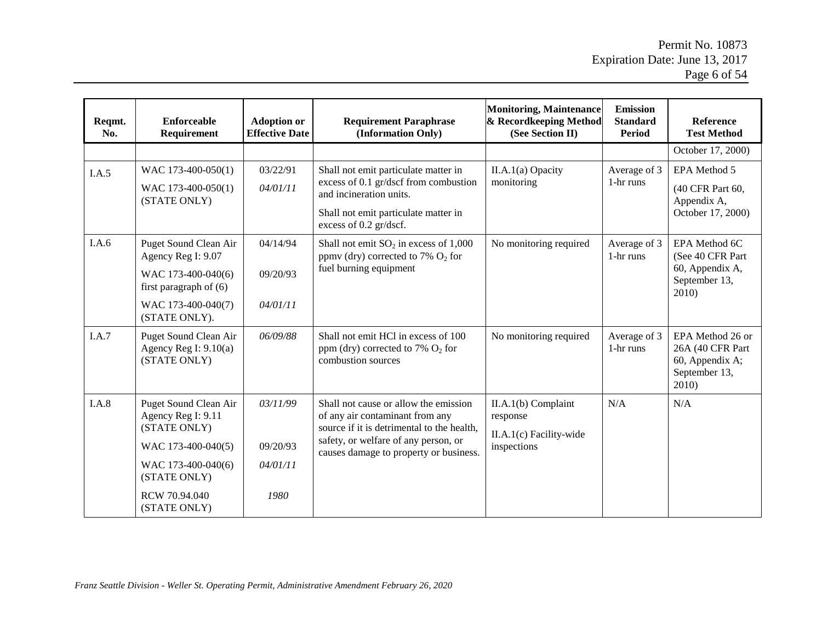| Reqmt.<br>No. | <b>Enforceable</b><br>Requirement                                                                                                                        | <b>Adoption or</b><br><b>Effective Date</b> | <b>Requirement Paraphrase</b><br>(Information Only)                                                                                                                                                      | <b>Monitoring, Maintenance</b><br>& Recordkeeping Method<br>(See Section II) | <b>Emission</b><br><b>Standard</b><br>Period | <b>Reference</b><br><b>Test Method</b>                                            |
|---------------|----------------------------------------------------------------------------------------------------------------------------------------------------------|---------------------------------------------|----------------------------------------------------------------------------------------------------------------------------------------------------------------------------------------------------------|------------------------------------------------------------------------------|----------------------------------------------|-----------------------------------------------------------------------------------|
|               |                                                                                                                                                          |                                             |                                                                                                                                                                                                          |                                                                              |                                              | October 17, 2000)                                                                 |
| I.A.5         | WAC 173-400-050(1)<br>WAC 173-400-050(1)<br>(STATE ONLY)                                                                                                 | 03/22/91<br>04/01/11                        | Shall not emit particulate matter in<br>excess of 0.1 gr/dscf from combustion<br>and incineration units.<br>Shall not emit particulate matter in<br>excess of 0.2 gr/dscf.                               | II.A.1(a) Opacity<br>monitoring                                              | Average of 3<br>1-hr runs                    | EPA Method 5<br>(40 CFR Part 60,<br>Appendix A,<br>October 17, 2000)              |
| I.A.6         | Puget Sound Clean Air<br>Agency Reg I: 9.07<br>WAC 173-400-040(6)<br>first paragraph of $(6)$<br>WAC 173-400-040(7)<br>(STATE ONLY).                     | 04/14/94<br>09/20/93<br>04/01/11            | Shall not emit $SO_2$ in excess of 1,000<br>ppmv (dry) corrected to 7% $O_2$ for<br>fuel burning equipment                                                                                               | No monitoring required                                                       | Average of 3<br>1-hr runs                    | EPA Method 6C<br>(See 40 CFR Part)<br>60, Appendix A,<br>September 13,<br>2010)   |
| I.A.7         | Puget Sound Clean Air<br>Agency Reg I: $9.10(a)$<br>(STATE ONLY)                                                                                         | 06/09/88                                    | Shall not emit HCl in excess of 100<br>ppm (dry) corrected to 7% $O_2$ for<br>combustion sources                                                                                                         | No monitoring required                                                       | Average of 3<br>1-hr runs                    | EPA Method 26 or<br>26A (40 CFR Part<br>60, Appendix A;<br>September 13,<br>2010) |
| I.A.8         | Puget Sound Clean Air<br>Agency Reg I: 9.11<br>(STATE ONLY)<br>WAC 173-400-040(5)<br>WAC 173-400-040(6)<br>(STATE ONLY)<br>RCW 70.94.040<br>(STATE ONLY) | 03/11/99<br>09/20/93<br>04/01/11<br>1980    | Shall not cause or allow the emission<br>of any air contaminant from any<br>source if it is detrimental to the health,<br>safety, or welfare of any person, or<br>causes damage to property or business. | II.A.1(b) Complaint<br>response<br>II.A.1(c) Facility-wide<br>inspections    | N/A                                          | N/A                                                                               |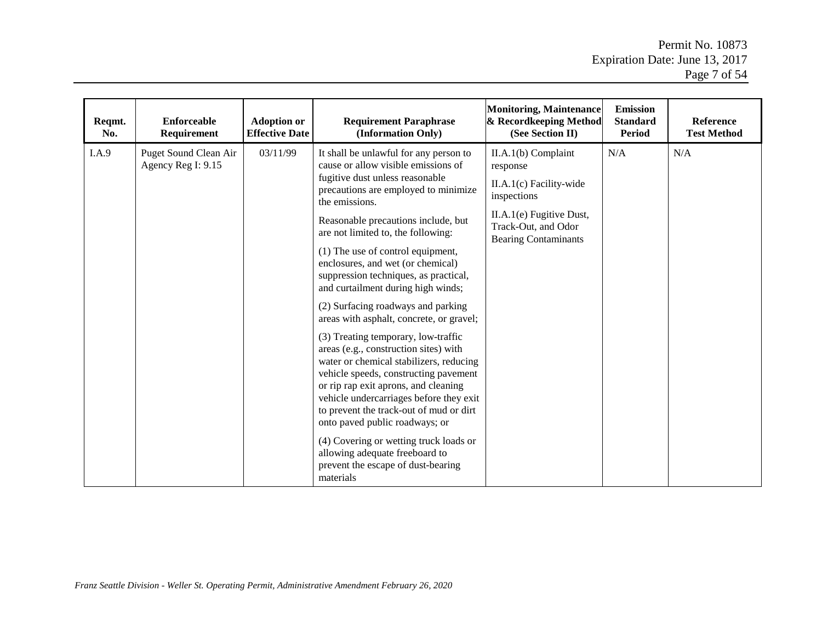| Reqmt.<br>No. | <b>Enforceable</b><br>Requirement           | <b>Adoption or</b><br><b>Effective Date</b> | <b>Requirement Paraphrase</b><br>(Information Only)                                                                                                                                                                                                                                                                                                                                                                                                                                                                                                                                                                                                                                                                                                                                                                                                                                                                                                                   | <b>Monitoring, Maintenance</b><br>& Recordkeeping Method<br>(See Section II)                                                                                | <b>Emission</b><br><b>Standard</b><br><b>Period</b> | Reference<br><b>Test Method</b> |
|---------------|---------------------------------------------|---------------------------------------------|-----------------------------------------------------------------------------------------------------------------------------------------------------------------------------------------------------------------------------------------------------------------------------------------------------------------------------------------------------------------------------------------------------------------------------------------------------------------------------------------------------------------------------------------------------------------------------------------------------------------------------------------------------------------------------------------------------------------------------------------------------------------------------------------------------------------------------------------------------------------------------------------------------------------------------------------------------------------------|-------------------------------------------------------------------------------------------------------------------------------------------------------------|-----------------------------------------------------|---------------------------------|
| I.A.9         | Puget Sound Clean Air<br>Agency Reg I: 9.15 | 03/11/99                                    | It shall be unlawful for any person to<br>cause or allow visible emissions of<br>fugitive dust unless reasonable<br>precautions are employed to minimize<br>the emissions.<br>Reasonable precautions include, but<br>are not limited to, the following:<br>(1) The use of control equipment,<br>enclosures, and wet (or chemical)<br>suppression techniques, as practical,<br>and curtailment during high winds;<br>(2) Surfacing roadways and parking<br>areas with asphalt, concrete, or gravel;<br>(3) Treating temporary, low-traffic<br>areas (e.g., construction sites) with<br>water or chemical stabilizers, reducing<br>vehicle speeds, constructing pavement<br>or rip rap exit aprons, and cleaning<br>vehicle undercarriages before they exit<br>to prevent the track-out of mud or dirt<br>onto paved public roadways; or<br>(4) Covering or wetting truck loads or<br>allowing adequate freeboard to<br>prevent the escape of dust-bearing<br>materials | II.A.1(b) Complaint<br>response<br>II.A.1(c) Facility-wide<br>inspections<br>II.A.1(e) Fugitive Dust,<br>Track-Out, and Odor<br><b>Bearing Contaminants</b> | N/A                                                 | N/A                             |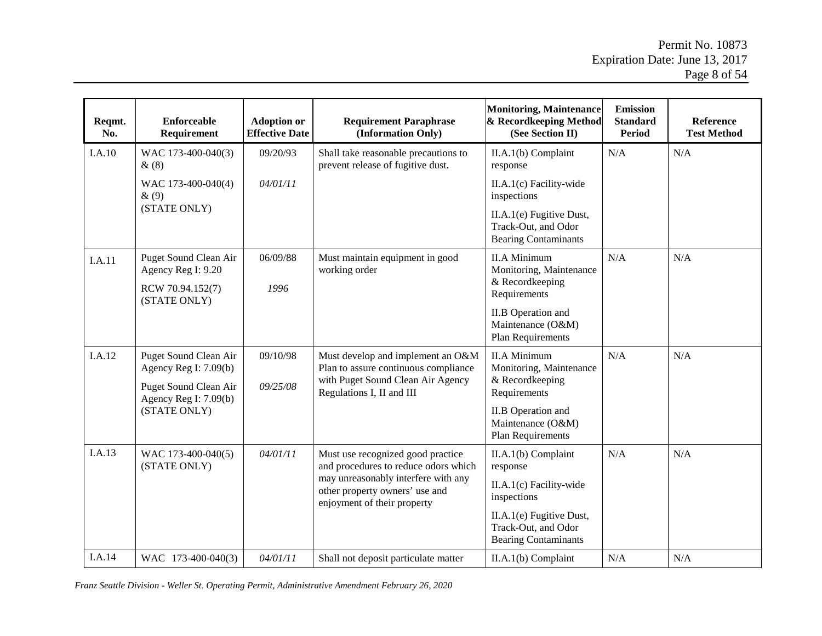| Reqmt.<br>No. | <b>Enforceable</b><br>Requirement                                           | <b>Adoption or</b><br><b>Effective Date</b> | <b>Requirement Paraphrase</b><br>(Information Only)                                                  | <b>Monitoring, Maintenance</b><br>& Recordkeeping Method<br>(See Section II)   | <b>Emission</b><br><b>Standard</b><br><b>Period</b> | <b>Reference</b><br><b>Test Method</b> |
|---------------|-----------------------------------------------------------------------------|---------------------------------------------|------------------------------------------------------------------------------------------------------|--------------------------------------------------------------------------------|-----------------------------------------------------|----------------------------------------|
| I.A.10        | WAC 173-400-040(3)<br>&(8)                                                  | 09/20/93                                    | Shall take reasonable precautions to<br>prevent release of fugitive dust.                            | II.A.1(b) Complaint<br>response                                                | N/A                                                 | N/A                                    |
|               | WAC 173-400-040(4)<br>$\&(9)$                                               | 04/01/11                                    |                                                                                                      | $II.A.1(c)$ Facility-wide<br>inspections                                       |                                                     |                                        |
|               | (STATE ONLY)                                                                |                                             |                                                                                                      | II.A.1(e) Fugitive Dust,<br>Track-Out, and Odor<br><b>Bearing Contaminants</b> |                                                     |                                        |
| I.A.11        | Puget Sound Clean Air<br>Agency Reg I: 9.20                                 | 06/09/88                                    | Must maintain equipment in good<br>working order                                                     | <b>II.A Minimum</b><br>Monitoring, Maintenance                                 | N/A                                                 | N/A                                    |
|               | & Recordkeeping<br>1996<br>RCW 70.94.152(7)<br>Requirements<br>(STATE ONLY) |                                             |                                                                                                      |                                                                                |                                                     |                                        |
|               |                                                                             |                                             |                                                                                                      | <b>II.B</b> Operation and<br>Maintenance (O&M)<br>Plan Requirements            |                                                     |                                        |
| I.A.12        | Puget Sound Clean Air<br>Agency Reg I: $7.09(b)$                            | 09/10/98                                    | Must develop and implement an O&M<br>Plan to assure continuous compliance                            | <b>II.A Minimum</b><br>Monitoring, Maintenance                                 | N/A                                                 | N/A                                    |
|               | Puget Sound Clean Air<br>Agency Reg I: 7.09(b)                              | 09/25/08                                    | with Puget Sound Clean Air Agency<br>Regulations I, II and III                                       | & Recordkeeping<br>Requirements                                                |                                                     |                                        |
| (STATE ONLY)  |                                                                             |                                             |                                                                                                      | <b>II.B</b> Operation and<br>Maintenance (O&M)<br>Plan Requirements            |                                                     |                                        |
| I.A.13        | WAC 173-400-040(5)<br>(STATE ONLY)                                          | 04/01/11                                    | Must use recognized good practice<br>and procedures to reduce odors which                            | II.A.1(b) Complaint<br>response                                                | N/A                                                 | N/A                                    |
|               |                                                                             |                                             | may unreasonably interfere with any<br>other property owners' use and<br>enjoyment of their property | II.A.1(c) Facility-wide<br>inspections                                         |                                                     |                                        |
|               |                                                                             |                                             |                                                                                                      | II.A.1(e) Fugitive Dust,<br>Track-Out, and Odor<br><b>Bearing Contaminants</b> |                                                     |                                        |
| I.A.14        | WAC 173-400-040(3)                                                          | 04/01/11                                    | Shall not deposit particulate matter                                                                 | II.A.1(b) Complaint                                                            | N/A                                                 | N/A                                    |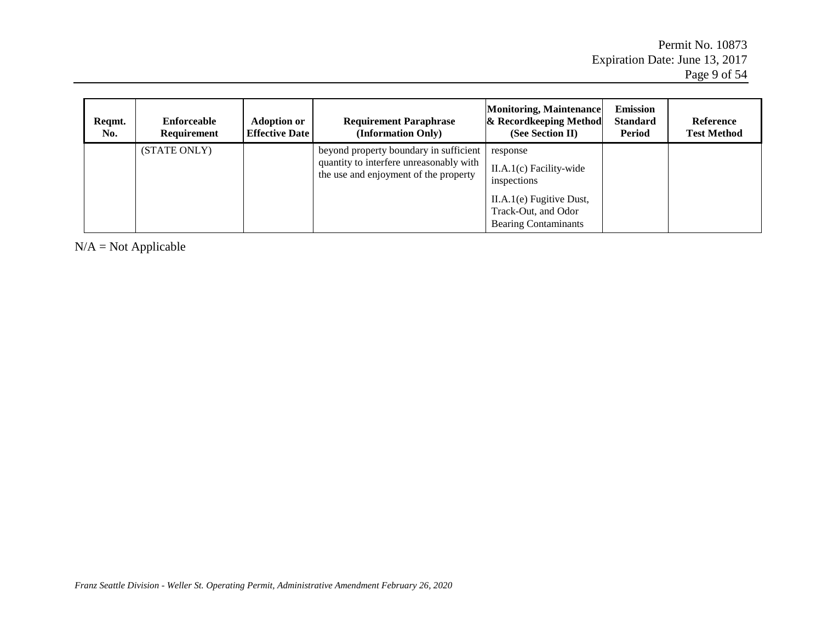| Regmt.<br>No. | <b>Enforceable</b><br><b>Requirement</b> | <b>Adoption or</b><br><b>Effective Date</b> | <b>Requirement Paraphrase</b><br>(Information Only)                                                                        | Monitoring, Maintenance<br>& Recordkeeping Method<br>(See Section II)              | <b>Emission</b><br><b>Standard</b><br>Period | <b>Reference</b><br><b>Test Method</b> |
|---------------|------------------------------------------|---------------------------------------------|----------------------------------------------------------------------------------------------------------------------------|------------------------------------------------------------------------------------|----------------------------------------------|----------------------------------------|
|               | (STATE ONLY)                             |                                             | beyond property boundary in sufficient<br>quantity to interfere unreasonably with<br>the use and enjoyment of the property | response<br>$II.A.1(c)$ Facility-wide<br>inspections<br>$II.A.1(e)$ Fugitive Dust, |                                              |                                        |
|               |                                          |                                             |                                                                                                                            | Track-Out, and Odor<br><b>Bearing Contaminants</b>                                 |                                              |                                        |

 $N/A = Not$  Applicable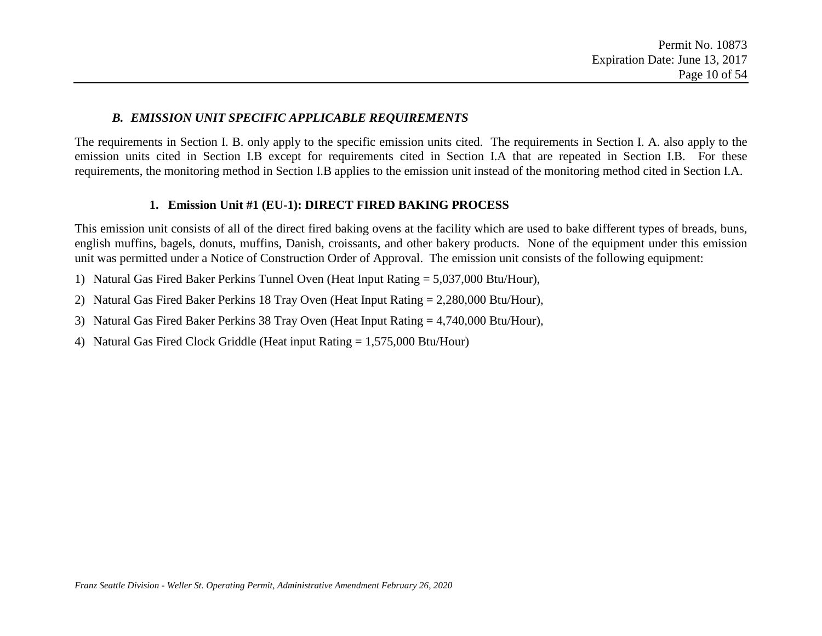#### *B. EMISSION UNIT SPECIFIC APPLICABLE REQUIREMENTS*

The requirements in Section I. B. only apply to the specific emission units cited. The requirements in Section I. A. also apply to the emission units cited in Section I.B except for requirements cited in Section I.A that are repeated in Section I.B. For these requirements, the monitoring method in Section I.B applies to the emission unit instead of the monitoring method cited in Section I.A.

#### **1. Emission Unit #1 (EU-1): DIRECT FIRED BAKING PROCESS**

This emission unit consists of all of the direct fired baking ovens at the facility which are used to bake different types of breads, buns, english muffins, bagels, donuts, muffins, Danish, croissants, and other bakery products. None of the equipment under this emission unit was permitted under a Notice of Construction Order of Approval. The emission unit consists of the following equipment:

- 1) Natural Gas Fired Baker Perkins Tunnel Oven (Heat Input Rating = 5,037,000 Btu/Hour),
- <span id="page-9-0"></span>2) Natural Gas Fired Baker Perkins 18 Tray Oven (Heat Input Rating = 2,280,000 Btu/Hour),
- 3) Natural Gas Fired Baker Perkins 38 Tray Oven (Heat Input Rating = 4,740,000 Btu/Hour),
- 4) Natural Gas Fired Clock Griddle (Heat input Rating = 1,575,000 Btu/Hour)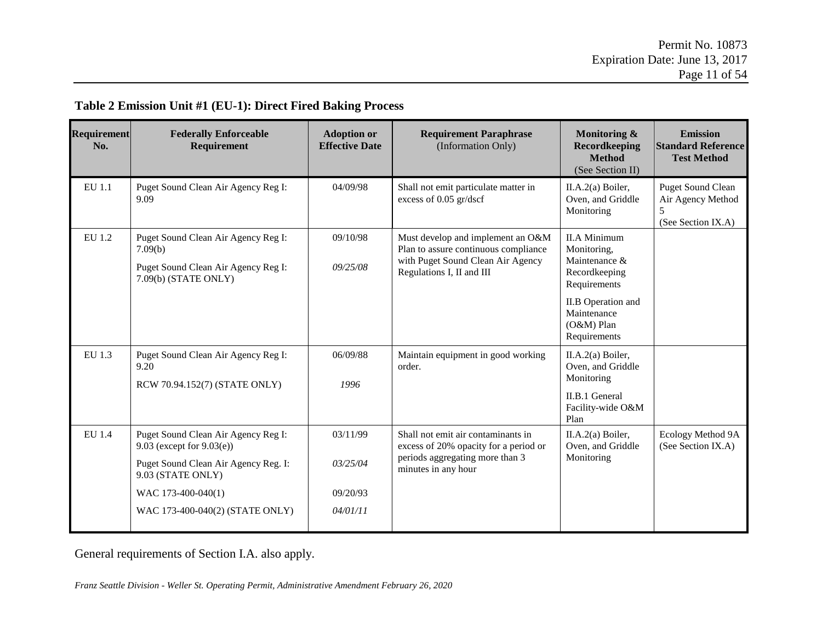| Requirement<br>No. | <b>Federally Enforceable</b><br>Requirement                                                                                                                                               | <b>Adoption or</b><br><b>Effective Date</b>  | <b>Requirement Paraphrase</b><br>(Information Only)                                                                                         | Monitoring &<br>Recordkeeping<br><b>Method</b><br>(See Section II)                                                                                        | <b>Emission</b><br><b>Standard Reference</b><br><b>Test Method</b>  |
|--------------------|-------------------------------------------------------------------------------------------------------------------------------------------------------------------------------------------|----------------------------------------------|---------------------------------------------------------------------------------------------------------------------------------------------|-----------------------------------------------------------------------------------------------------------------------------------------------------------|---------------------------------------------------------------------|
| EU 1.1             | Puget Sound Clean Air Agency Reg I:<br>9.09                                                                                                                                               | 04/09/98                                     | Shall not emit particulate matter in<br>excess of 0.05 gr/dscf                                                                              | II.A.2(a) Boiler,<br>Oven, and Griddle<br>Monitoring                                                                                                      | <b>Puget Sound Clean</b><br>Air Agency Method<br>(See Section IX.A) |
| EU 1.2             | Puget Sound Clean Air Agency Reg I:<br>7.09(b)<br>Puget Sound Clean Air Agency Reg I:<br>7.09(b) (STATE ONLY)                                                                             | 09/10/98<br>09/25/08                         | Must develop and implement an O&M<br>Plan to assure continuous compliance<br>with Puget Sound Clean Air Agency<br>Regulations I, II and III | <b>II.A Minimum</b><br>Monitoring,<br>Maintenance &<br>Recordkeeping<br>Requirements<br>II.B Operation and<br>Maintenance<br>$(O&M)$ Plan<br>Requirements |                                                                     |
| EU 1.3             | Puget Sound Clean Air Agency Reg I:<br>9.20<br>RCW 70.94.152(7) (STATE ONLY)                                                                                                              | 06/09/88<br>1996                             | Maintain equipment in good working<br>order.                                                                                                | II.A.2(a) Boiler,<br>Oven, and Griddle<br>Monitoring<br><b>II.B.1 General</b><br>Facility-wide O&M<br>Plan                                                |                                                                     |
| EU 1.4             | Puget Sound Clean Air Agency Reg I:<br>9.03 (except for $9.03(e)$ )<br>Puget Sound Clean Air Agency Reg. I:<br>9.03 (STATE ONLY)<br>WAC 173-400-040(1)<br>WAC 173-400-040(2) (STATE ONLY) | 03/11/99<br>03/25/04<br>09/20/93<br>04/01/11 | Shall not emit air contaminants in<br>excess of 20% opacity for a period or<br>periods aggregating more than 3<br>minutes in any hour       | II.A.2(a) Boiler,<br>Oven, and Griddle<br>Monitoring                                                                                                      | Ecology Method 9A<br>(See Section IX.A)                             |

#### **Table 2 Emission Unit #1 (EU-1): Direct Fired Baking Process**

General requirements of Section I.A. also apply.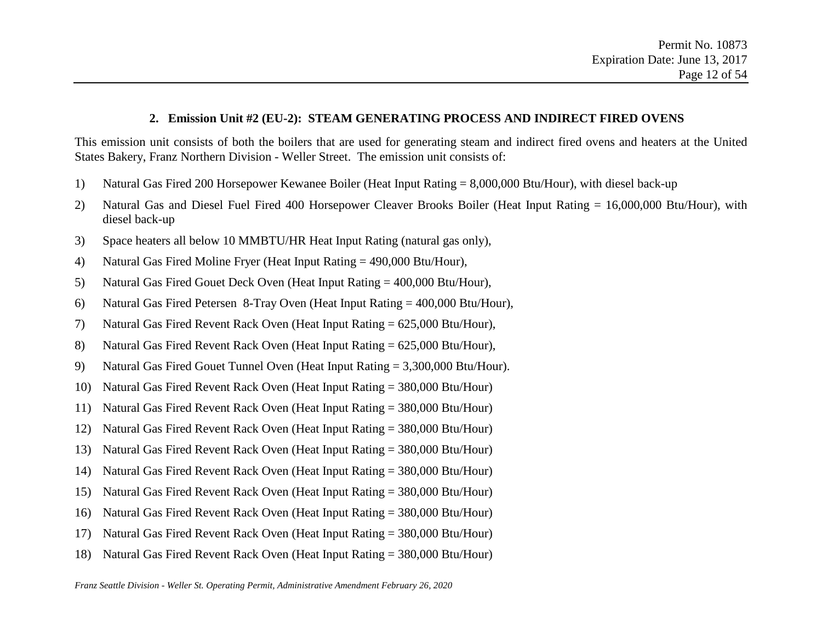#### **2. Emission Unit #2 (EU-2): STEAM GENERATING PROCESS AND INDIRECT FIRED OVENS**

This emission unit consists of both the boilers that are used for generating steam and indirect fired ovens and heaters at the United States Bakery, Franz Northern Division - Weller Street. The emission unit consists of:

- 1) Natural Gas Fired 200 Horsepower Kewanee Boiler (Heat Input Rating = 8,000,000 Btu/Hour), with diesel back-up
- 2) Natural Gas and Diesel Fuel Fired 400 Horsepower Cleaver Brooks Boiler (Heat Input Rating = 16,000,000 Btu/Hour), with diesel back-up
- 3) Space heaters all below 10 MMBTU/HR Heat Input Rating (natural gas only),
- 4) Natural Gas Fired Moline Fryer (Heat Input Rating = 490,000 Btu/Hour),
- 5) Natural Gas Fired Gouet Deck Oven (Heat Input Rating = 400,000 Btu/Hour),
- 6) Natural Gas Fired Petersen 8-Tray Oven (Heat Input Rating = 400,000 Btu/Hour),
- 7) Natural Gas Fired Revent Rack Oven (Heat Input Rating = 625,000 Btu/Hour),
- 8) Natural Gas Fired Revent Rack Oven (Heat Input Rating = 625,000 Btu/Hour),
- 9) Natural Gas Fired Gouet Tunnel Oven (Heat Input Rating = 3,300,000 Btu/Hour).
- 10) Natural Gas Fired Revent Rack Oven (Heat Input Rating = 380,000 Btu/Hour)
- 11) Natural Gas Fired Revent Rack Oven (Heat Input Rating = 380,000 Btu/Hour)
- 12) Natural Gas Fired Revent Rack Oven (Heat Input Rating = 380,000 Btu/Hour)
- 13) Natural Gas Fired Revent Rack Oven (Heat Input Rating = 380,000 Btu/Hour)
- 14) Natural Gas Fired Revent Rack Oven (Heat Input Rating = 380,000 Btu/Hour)
- 15) Natural Gas Fired Revent Rack Oven (Heat Input Rating = 380,000 Btu/Hour)
- 16) Natural Gas Fired Revent Rack Oven (Heat Input Rating = 380,000 Btu/Hour)
- 17) Natural Gas Fired Revent Rack Oven (Heat Input Rating = 380,000 Btu/Hour)
- 18) Natural Gas Fired Revent Rack Oven (Heat Input Rating = 380,000 Btu/Hour)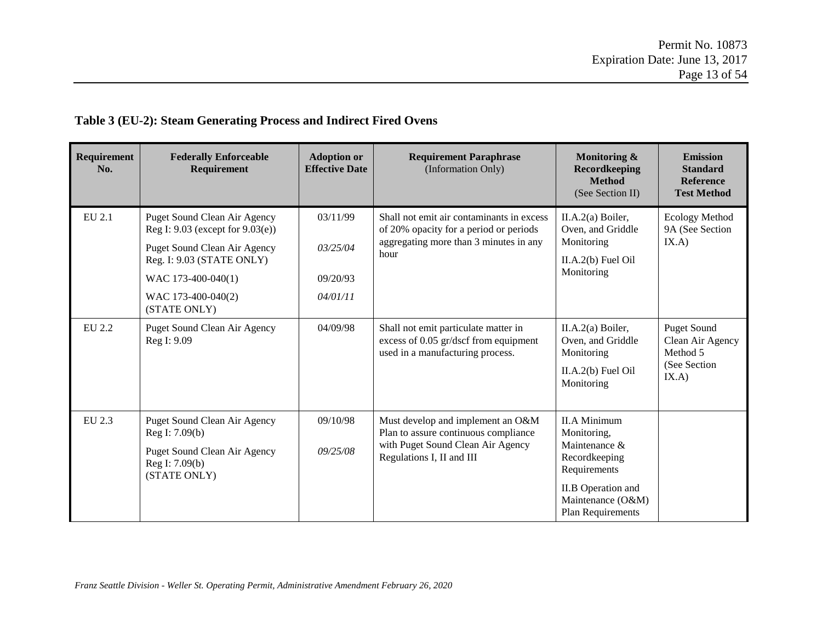### **Table 3 (EU-2): Steam Generating Process and Indirect Fired Ovens**

| Requirement<br>No. | <b>Federally Enforceable</b><br>Requirement                                                                                                                                                             | <b>Adoption or</b><br><b>Effective Date</b>  | <b>Requirement Paraphrase</b><br>(Information Only)                                                                                         | Monitoring &<br><b>Recordkeeping</b><br><b>Method</b><br>(See Section II)                                                                                   | <b>Emission</b><br><b>Standard</b><br><b>Reference</b><br><b>Test Method</b> |
|--------------------|---------------------------------------------------------------------------------------------------------------------------------------------------------------------------------------------------------|----------------------------------------------|---------------------------------------------------------------------------------------------------------------------------------------------|-------------------------------------------------------------------------------------------------------------------------------------------------------------|------------------------------------------------------------------------------|
| EU 2.1             | <b>Puget Sound Clean Air Agency</b><br>Reg I: 9.03 (except for 9.03(e))<br><b>Puget Sound Clean Air Agency</b><br>Reg. I: 9.03 (STATE ONLY)<br>WAC 173-400-040(1)<br>WAC 173-400-040(2)<br>(STATE ONLY) | 03/11/99<br>03/25/04<br>09/20/93<br>04/01/11 | Shall not emit air contaminants in excess<br>of 20% opacity for a period or periods<br>aggregating more than 3 minutes in any<br>hour       | II.A.2(a) Boiler,<br>Oven, and Griddle<br>Monitoring<br>$II.A.2(b)$ Fuel Oil<br>Monitoring                                                                  | <b>Ecology Method</b><br>9A (See Section<br>IX.A)                            |
| EU 2.2             | Puget Sound Clean Air Agency<br>Reg I: 9.09                                                                                                                                                             | 04/09/98                                     | Shall not emit particulate matter in<br>excess of 0.05 gr/dscf from equipment<br>used in a manufacturing process.                           | II.A.2(a) Boiler,<br>Oven, and Griddle<br>Monitoring<br>$II.A.2(b)$ Fuel Oil<br>Monitoring                                                                  | <b>Puget Sound</b><br>Clean Air Agency<br>Method 5<br>(See Section)<br>IX.A) |
| EU 2.3             | Puget Sound Clean Air Agency<br>Reg I: 7.09(b)<br>Puget Sound Clean Air Agency<br>Reg I: 7.09(b)<br>(STATE ONLY)                                                                                        | 09/10/98<br>09/25/08                         | Must develop and implement an O&M<br>Plan to assure continuous compliance<br>with Puget Sound Clean Air Agency<br>Regulations I, II and III | <b>II.A Minimum</b><br>Monitoring,<br>Maintenance &<br>Recordkeeping<br>Requirements<br><b>II.B</b> Operation and<br>Maintenance (O&M)<br>Plan Requirements |                                                                              |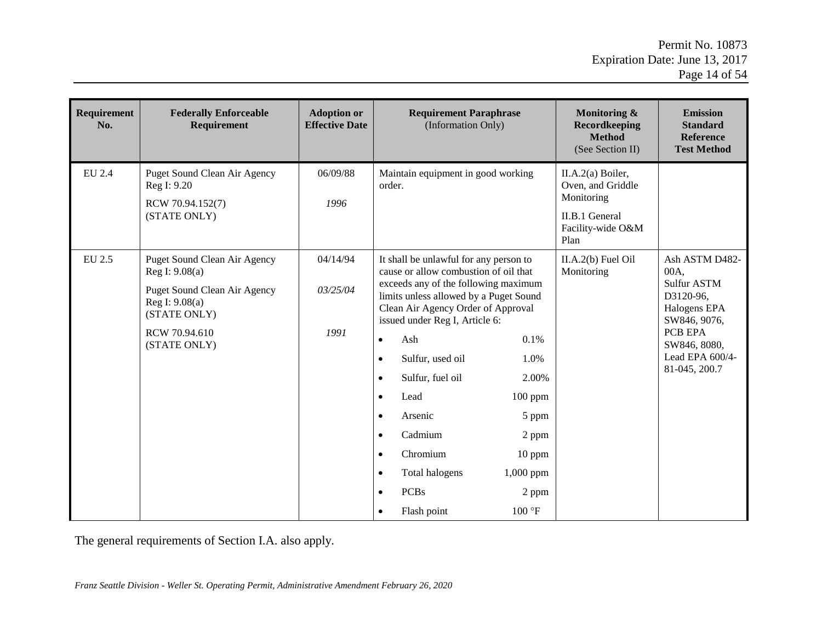| Requirement<br>No. | <b>Federally Enforceable</b><br>Requirement                                                                                                       | <b>Adoption or</b><br><b>Effective Date</b> | <b>Requirement Paraphrase</b><br>(Information Only)                                                                                                                                                                                                                                                                                                                                                                                                                                                                                                                                                                                      | <b>Monitoring &amp;</b><br>Recordkeeping<br><b>Method</b><br>(See Section II)                       | <b>Emission</b><br><b>Standard</b><br><b>Reference</b><br><b>Test Method</b>                                                                      |
|--------------------|---------------------------------------------------------------------------------------------------------------------------------------------------|---------------------------------------------|------------------------------------------------------------------------------------------------------------------------------------------------------------------------------------------------------------------------------------------------------------------------------------------------------------------------------------------------------------------------------------------------------------------------------------------------------------------------------------------------------------------------------------------------------------------------------------------------------------------------------------------|-----------------------------------------------------------------------------------------------------|---------------------------------------------------------------------------------------------------------------------------------------------------|
| EU 2.4             | <b>Puget Sound Clean Air Agency</b><br>Reg I: 9.20<br>RCW 70.94.152(7)<br>(STATE ONLY)                                                            | 06/09/88<br>1996                            | Maintain equipment in good working<br>order.                                                                                                                                                                                                                                                                                                                                                                                                                                                                                                                                                                                             | II.A.2(a) Boiler,<br>Oven, and Griddle<br>Monitoring<br>II.B.1 General<br>Facility-wide O&M<br>Plan |                                                                                                                                                   |
| EU 2.5             | Puget Sound Clean Air Agency<br>Reg I: 9.08(a)<br>Puget Sound Clean Air Agency<br>Reg I: 9.08(a)<br>(STATE ONLY)<br>RCW 70.94.610<br>(STATE ONLY) | 04/14/94<br>03/25/04<br>1991                | It shall be unlawful for any person to<br>cause or allow combustion of oil that<br>exceeds any of the following maximum<br>limits unless allowed by a Puget Sound<br>Clean Air Agency Order of Approval<br>issued under Reg I, Article 6:<br>Ash<br>0.1%<br>$\bullet$<br>Sulfur, used oil<br>1.0%<br>$\bullet$<br>Sulfur, fuel oil<br>2.00%<br>$\bullet$<br>Lead<br>100 ppm<br>$\bullet$<br>Arsenic<br>5 ppm<br>$\bullet$<br>Cadmium<br>2 ppm<br>$\bullet$<br>Chromium<br>$10$ ppm<br>$\bullet$<br>1,000 ppm<br>Total halogens<br>$\bullet$<br><b>PCBs</b><br>2 ppm<br>$\bullet$<br>$100\,{}^\circ \text{F}$<br>Flash point<br>$\bullet$ | $II.A.2(b)$ Fuel Oil<br>Monitoring                                                                  | Ash ASTM D482-<br>00A.<br>Sulfur ASTM<br>D3120-96,<br>Halogens EPA<br>SW846, 9076,<br>PCB EPA<br>SW846, 8080,<br>Lead EPA 600/4-<br>81-045, 200.7 |

The general requirements of Section I.A. also apply.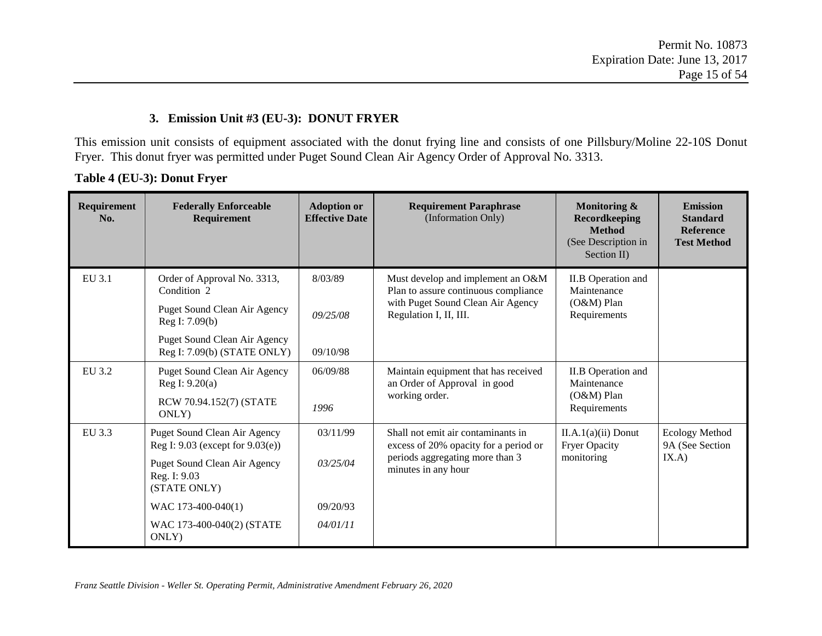#### **3. Emission Unit #3 (EU-3): DONUT FRYER**

This emission unit consists of equipment associated with the donut frying line and consists of one Pillsbury/Moline 22-10S Donut Fryer. This donut fryer was permitted under Puget Sound Clean Air Agency Order of Approval No. 3313.

**Table 4 (EU-3): Donut Fryer**

| <b>Requirement</b><br>No. | <b>Federally Enforceable</b><br>Requirement                             | <b>Adoption or</b><br><b>Effective Date</b> | <b>Requirement Paraphrase</b><br>(Information Only)                                                                                   | Monitoring &<br>Recordkeeping<br><b>Method</b><br>(See Description in<br>Section II) | <b>Emission</b><br><b>Standard</b><br><b>Reference</b><br><b>Test Method</b> |       |
|---------------------------|-------------------------------------------------------------------------|---------------------------------------------|---------------------------------------------------------------------------------------------------------------------------------------|--------------------------------------------------------------------------------------|------------------------------------------------------------------------------|-------|
| EU 3.1                    | Order of Approval No. 3313,<br>Condition 2                              | 8/03/89                                     | Must develop and implement an O&M<br>Plan to assure continuous compliance                                                             | II.B Operation and<br>Maintenance                                                    |                                                                              |       |
|                           | Puget Sound Clean Air Agency<br>Reg I: 7.09(b)                          | 09/25/08                                    | with Puget Sound Clean Air Agency<br>Regulation I, II, III.                                                                           | (O&M) Plan<br>Requirements                                                           |                                                                              |       |
|                           | Puget Sound Clean Air Agency<br>Reg I: 7.09(b) (STATE ONLY)             | 09/10/98                                    |                                                                                                                                       |                                                                                      |                                                                              |       |
| EU 3.2                    | <b>Puget Sound Clean Air Agency</b><br>Reg I: 9.20(a)                   | 06/09/88                                    | Maintain equipment that has received<br>an Order of Approval in good<br>Maintenance<br>working order.<br>$(O&M)$ Plan<br>Requirements | II.B Operation and                                                                   |                                                                              |       |
|                           | RCW 70.94.152(7) (STATE<br>ONLY)                                        | 1996                                        |                                                                                                                                       |                                                                                      |                                                                              |       |
| EU 3.3                    | <b>Puget Sound Clean Air Agency</b><br>Reg I: 9.03 (except for 9.03(e)) | 03/11/99                                    | Shall not emit air contaminants in<br>excess of 20% opacity for a period or                                                           | $II.A.1(a)(ii)$ Donut<br><b>Fryer Opacity</b>                                        | Ecology Method<br>9A (See Section                                            |       |
|                           | <b>Puget Sound Clean Air Agency</b><br>Reg. I: 9.03<br>(STATE ONLY)     | 03/25/04                                    | periods aggregating more than 3<br>minutes in any hour                                                                                |                                                                                      | monitoring                                                                   | IX.A) |
|                           | WAC 173-400-040(1)                                                      | 09/20/93                                    |                                                                                                                                       |                                                                                      |                                                                              |       |
|                           | WAC 173-400-040(2) (STATE<br>ONLY)                                      | 04/01/11                                    |                                                                                                                                       |                                                                                      |                                                                              |       |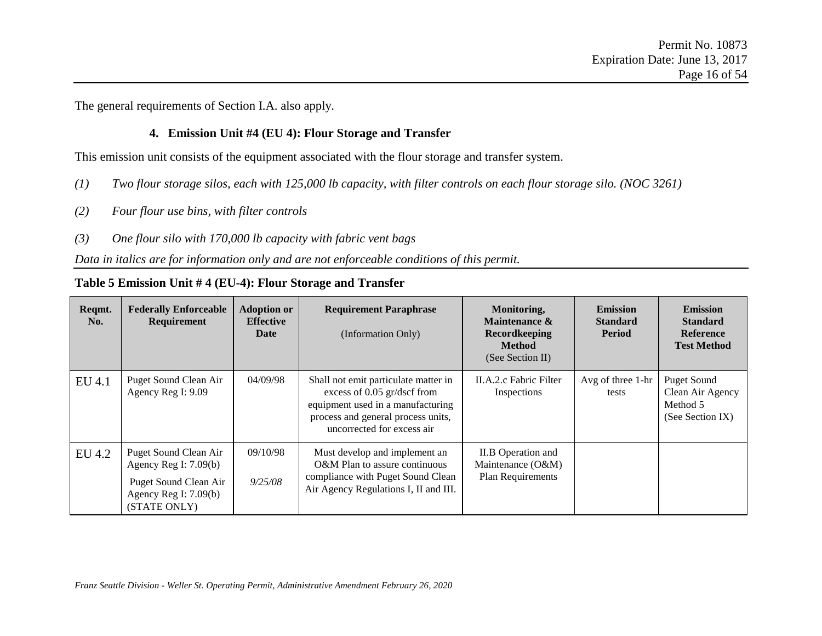The general requirements of Section I.A. also apply.

#### **4. Emission Unit #4 (EU 4): Flour Storage and Transfer**

This emission unit consists of the equipment associated with the flour storage and transfer system.

- *(1) Two flour storage silos, each with 125,000 lb capacity, with filter controls on each flour storage silo. (NOC 3261)*
- *(2) Four flour use bins, with filter controls*
- *(3) One flour silo with 170,000 lb capacity with fabric vent bags*

#### *Data in italics are for information only and are not enforceable conditions of this permit.*

#### **Table 5 Emission Unit # 4 (EU-4): Flour Storage and Transfer**

| Reqmt.<br>No. | <b>Federally Enforceable</b><br><b>Requirement</b>                                                                   | <b>Adoption or</b><br><b>Effective</b><br>Date | <b>Requirement Paraphrase</b><br>(Information Only)                                                                                                                            | Monitoring,<br>Maintenance &<br><b>Recordkeeping</b><br><b>Method</b><br>(See Section II) | <b>Emission</b><br><b>Standard</b><br>Period | <b>Emission</b><br><b>Standard</b><br><b>Reference</b><br><b>Test Method</b> |
|---------------|----------------------------------------------------------------------------------------------------------------------|------------------------------------------------|--------------------------------------------------------------------------------------------------------------------------------------------------------------------------------|-------------------------------------------------------------------------------------------|----------------------------------------------|------------------------------------------------------------------------------|
| EU 4.1        | Puget Sound Clean Air<br>Agency Reg I: 9.09                                                                          | 04/09/98                                       | Shall not emit particulate matter in<br>excess of $0.05$ gr/dscf from<br>equipment used in a manufacturing<br>process and general process units,<br>uncorrected for excess air | II.A.2.c Fabric Filter<br>Inspections                                                     | Avg of three 1-hr<br>tests                   | <b>Puget Sound</b><br>Clean Air Agency<br>Method 5<br>(See Section IX)       |
| EU 4.2        | Puget Sound Clean Air<br>Agency Reg I: $7.09(b)$<br>Puget Sound Clean Air<br>Agency Reg I: $7.09(b)$<br>(STATE ONLY) | 09/10/98<br>9/25/08                            | Must develop and implement an<br>O&M Plan to assure continuous<br>compliance with Puget Sound Clean<br>Air Agency Regulations I, II and III.                                   | II.B Operation and<br>Maintenance (O&M)<br>Plan Requirements                              |                                              |                                                                              |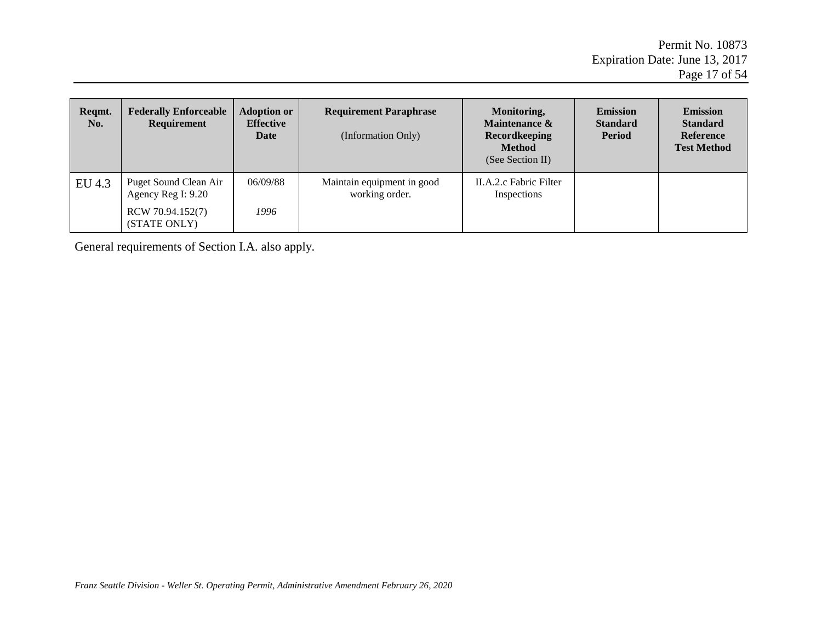| Regmt.<br>No. | <b>Federally Enforceable</b><br>Requirement | <b>Adoption or</b><br><b>Effective</b><br>Date | <b>Requirement Paraphrase</b><br>(Information Only) | Monitoring,<br>Maintenance &<br><b>Recordkeeping</b><br><b>Method</b><br>(See Section II) | <b>Emission</b><br><b>Standard</b><br>Period | <b>Emission</b><br><b>Standard</b><br><b>Reference</b><br><b>Test Method</b> |
|---------------|---------------------------------------------|------------------------------------------------|-----------------------------------------------------|-------------------------------------------------------------------------------------------|----------------------------------------------|------------------------------------------------------------------------------|
| EU 4.3        | Puget Sound Clean Air<br>Agency Reg I: 9.20 | 06/09/88                                       | Maintain equipment in good<br>working order.        | II.A.2.c Fabric Filter<br>Inspections                                                     |                                              |                                                                              |
|               | RCW 70.94.152(7)<br>(STATE ONLY)            | 1996                                           |                                                     |                                                                                           |                                              |                                                                              |

General requirements of Section I.A. also apply.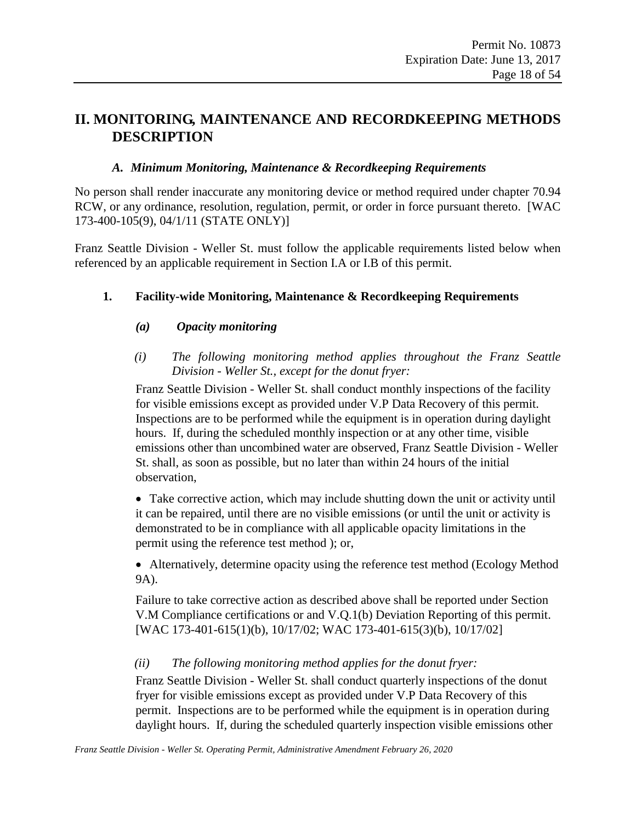### <span id="page-17-3"></span><span id="page-17-2"></span><span id="page-17-1"></span><span id="page-17-0"></span>**II. MONITORING, MAINTENANCE AND RECORDKEEPING METHODS DESCRIPTION**

#### *A. Minimum Monitoring, Maintenance & Recordkeeping Requirements*

No person shall render inaccurate any monitoring device or method required under chapter 70.94 RCW, or any ordinance, resolution, regulation, permit, or order in force pursuant thereto. [WAC 173-400-105(9), 04/1/11 (STATE ONLY)]

Franz Seattle Division - Weller St. must follow the applicable requirements listed below when referenced by an applicable requirement in Section I.A or I.B of this permit.

#### **1. Facility-wide Monitoring, Maintenance & Recordkeeping Requirements**

#### *(a) Opacity monitoring*

*(i) The following monitoring method applies throughout the Franz Seattle Division - Weller St., except for the donut fryer:* 

Franz Seattle Division - Weller St. shall conduct monthly inspections of the facility for visible emissions except as provided under [V.P](#page-33-0) Data Recovery of this permit. Inspections are to be performed while the equipment is in operation during daylight hours. If, during the scheduled monthly inspection or at any other time, visible emissions other than uncombined water are observed, Franz Seattle Division - Weller St. shall, as soon as possible, but no later than within 24 hours of the initial observation,

• Take corrective action, which may include shutting down the unit or activity until it can be repaired, until there are no visible emissions (or until the unit or activity is demonstrated to be in compliance with all applicable opacity limitations in the permit using the reference test method ); or,

• Alternatively, determine opacity using the reference test method (Ecology Method 9A).

Failure to take corrective action as described above shall be reported under Section V.M Compliance certifications or and V.Q.1(b) Deviation Reporting of this permit. [WAC 173-401-615(1)(b), 10/17/02; WAC 173-401-615(3)(b), 10/17/02]

#### *(ii) The following monitoring method applies for the donut fryer:*

Franz Seattle Division - Weller St. shall conduct quarterly inspections of the donut fryer for visible emissions except as provided under [V.P](#page-33-0) Data Recovery of this permit. Inspections are to be performed while the equipment is in operation during daylight hours. If, during the scheduled quarterly inspection visible emissions other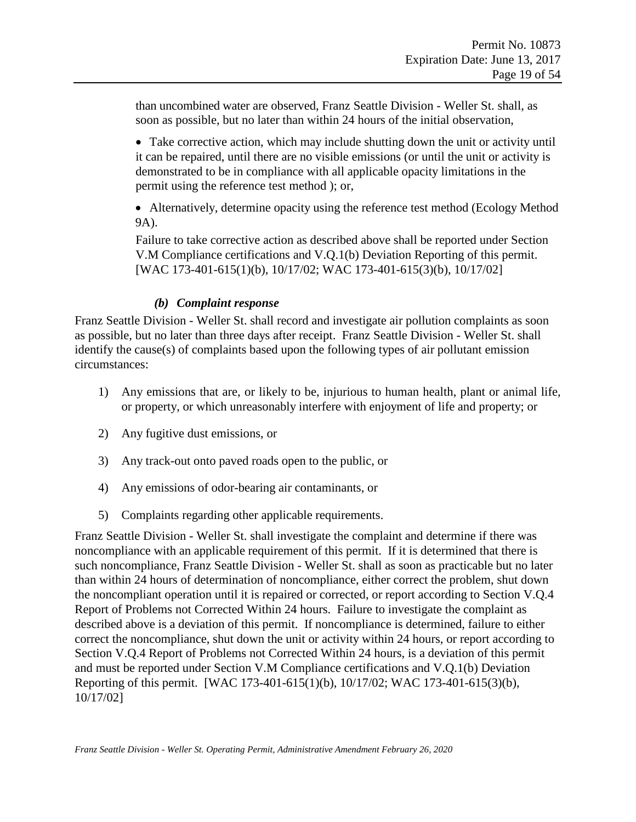<span id="page-18-0"></span>than uncombined water are observed, Franz Seattle Division - Weller St. shall, as soon as possible, but no later than within 24 hours of the initial observation,

• Take corrective action, which may include shutting down the unit or activity until it can be repaired, until there are no visible emissions (or until the unit or activity is demonstrated to be in compliance with all applicable opacity limitations in the permit using the reference test method ); or,

• Alternatively, determine opacity using the reference test method (Ecology Method) 9A).

Failure to take corrective action as described above shall be reported under Section [V.M](#page-30-1) [Compliance certifications](#page-30-1) and V.Q.1(b) Deviation Reporting of this permit. [WAC 173-401-615(1)(b), 10/17/02; WAC 173-401-615(3)(b), 10/17/02]

#### *(b) Complaint response*

Franz Seattle Division - Weller St. shall record and investigate air pollution complaints as soon as possible, but no later than three days after receipt. Franz Seattle Division - Weller St. shall identify the cause(s) of complaints based upon the following types of air pollutant emission circumstances:

- 1) Any emissions that are, or likely to be, injurious to human health, plant or animal life, or property, or which unreasonably interfere with enjoyment of life and property; or
- 2) Any fugitive dust emissions, or
- 3) Any track-out onto paved roads open to the public, or
- 4) Any emissions of odor-bearing air contaminants, or
- 5) Complaints regarding other applicable requirements.

<span id="page-18-1"></span>Franz Seattle Division - Weller St. shall investigate the complaint and determine if there was noncompliance with an applicable requirement of this permit. If it is determined that there is such noncompliance, Franz Seattle Division - Weller St. shall as soon as practicable but no later than within 24 hours of determination of noncompliance, either correct the problem, shut down the noncompliant operation until it is repaired or corrected, or report according to Section V.Q.4 Report of Problems not Corrected Within 24 hours. Failure to investigate the complaint as described above is a deviation of this permit. If noncompliance is determined, failure to either correct the noncompliance, shut down the unit or activity within 24 hours, or report according to Section V.Q.4 Report of Problems not Corrected Within 24 hours, is a deviation of this permit and must be reported under Section [V.M](#page-30-1) [Compliance certifications](#page-30-1) and V.Q.1(b) Deviation Reporting of this permit. [WAC 173-401-615(1)(b), 10/17/02; WAC 173-401-615(3)(b), 10/17/02]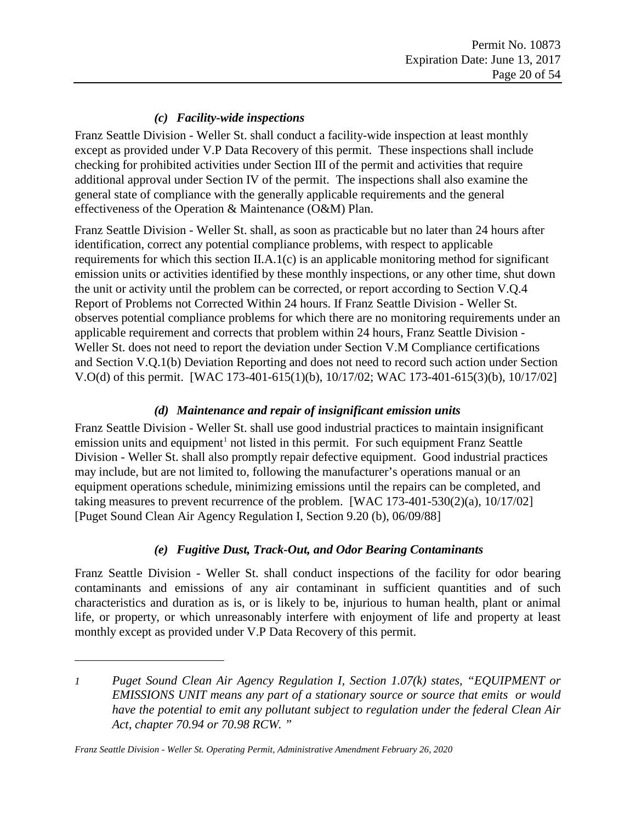### *(c) Facility-wide inspections*

Franz Seattle Division - Weller St. shall conduct a facility-wide inspection at least monthly except as provided under [V.P](#page-33-0) [Data Recovery](#page-33-0) of this permit. These inspections shall include checking for prohibited activities under Section III of the permit and activities that require additional approval under Section IV of the permit. The inspections shall also examine the general state of compliance with the generally applicable requirements and the general effectiveness of the Operation & Maintenance (O&M) Plan.

Franz Seattle Division - Weller St. shall, as soon as practicable but no later than 24 hours after identification, correct any potential compliance problems, with respect to applicable requirements for which this section II.A.1(c) is an applicable monitoring method for significant emission units or activities identified by these monthly inspections, or any other time, shut down the unit or activity until the problem can be corrected, or report according to Section V.Q.4 Report of Problems not Corrected Within 24 hours. If Franz Seattle Division - Weller St. observes potential compliance problems for which there are no monitoring requirements under an applicable requirement and corrects that problem within 24 hours, Franz Seattle Division - Weller St. does not need to report the deviation under Section [V.M](#page-30-1) [Compliance certifications](#page-30-1) and Section V.Q.1(b) Deviation Reporting and does not need to record such action under Section V.O(d) of this permit. [WAC 173-401-615(1)(b), 10/17/02; WAC 173-401-615(3)(b), 10/17/02]

#### *(d) Maintenance and repair of insignificant emission units*

<span id="page-19-2"></span><span id="page-19-0"></span>Franz Seattle Division - Weller St. shall use good industrial practices to maintain insignificant emission units and equipment<sup>[1](#page-19-1)</sup> not listed in this permit. For such equipment Franz Seattle Division - Weller St. shall also promptly repair defective equipment. Good industrial practices may include, but are not limited to, following the manufacturer's operations manual or an equipment operations schedule, minimizing emissions until the repairs can be completed, and taking measures to prevent recurrence of the problem. [WAC 173-401-530(2)(a), 10/17/02] [Puget Sound Clean Air Agency Regulation I, Section 9.20 (b), 06/09/88]

### *(e) Fugitive Dust, Track-Out, and Odor Bearing Contaminants*

Franz Seattle Division - Weller St. shall conduct inspections of the facility for odor bearing contaminants and emissions of any air contaminant in sufficient quantities and of such characteristics and duration as is, or is likely to be, injurious to human health, plant or animal life, or property, or which unreasonably interfere with enjoyment of life and property at least monthly except as provided under [V.P](#page-33-0) [Data Recovery](#page-33-0) of this permit.

 $\overline{a}$ 

<span id="page-19-1"></span>*<sup>1</sup> Puget Sound Clean Air Agency Regulation I, Section 1.07(k) states, "EQUIPMENT or EMISSIONS UNIT means any part of a stationary source or source that emits or would have the potential to emit any pollutant subject to regulation under the federal Clean Air Act, chapter 70.94 or 70.98 RCW. "*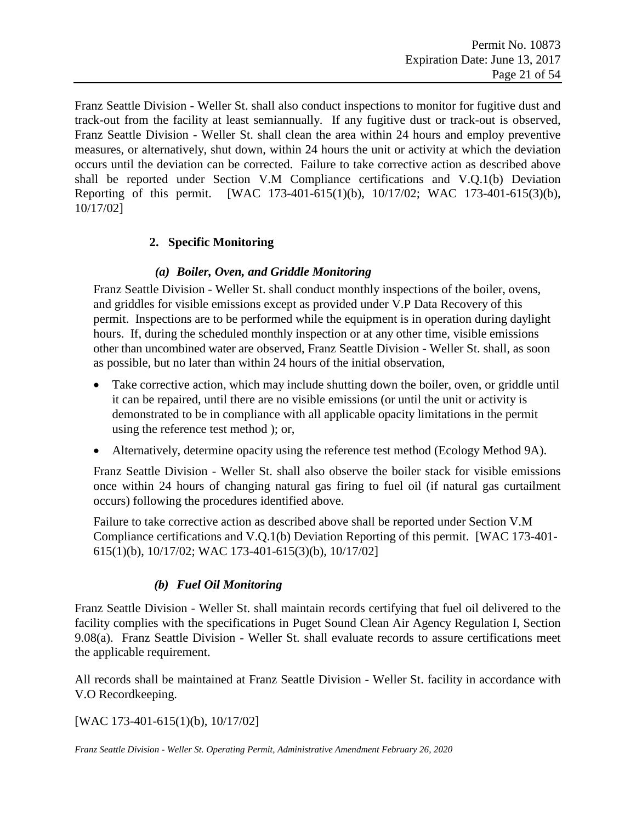<span id="page-20-0"></span>Franz Seattle Division - Weller St. shall also conduct inspections to monitor for fugitive dust and track-out from the facility at least semiannually. If any fugitive dust or track-out is observed, Franz Seattle Division - Weller St. shall clean the area within 24 hours and employ preventive measures, or alternatively, shut down, within 24 hours the unit or activity at which the deviation occurs until the deviation can be corrected. Failure to take corrective action as described above shall be reported under Section [V.M](#page-30-1) [Compliance certifications](#page-30-1) and V.Q.1(b) Deviation Reporting of this permit. [WAC 173-401-615(1)(b), 10/17/02; WAC 173-401-615(3)(b), 10/17/02]

#### **2. Specific Monitoring**

#### *(a) Boiler, Oven, and Griddle Monitoring*

Franz Seattle Division - Weller St. shall conduct monthly inspections of the boiler, ovens, and griddles for visible emissions except as provided under [V.P](#page-33-0) [Data Recovery](#page-33-0) of this permit. Inspections are to be performed while the equipment is in operation during daylight hours. If, during the scheduled monthly inspection or at any other time, visible emissions other than uncombined water are observed, Franz Seattle Division - Weller St. shall, as soon as possible, but no later than within 24 hours of the initial observation,

- <span id="page-20-1"></span>• Take corrective action, which may include shutting down the boiler, oven, or griddle until it can be repaired, until there are no visible emissions (or until the unit or activity is demonstrated to be in compliance with all applicable opacity limitations in the permit using the reference test method ); or,
- Alternatively, determine opacity using the reference test method (Ecology Method 9A).

Franz Seattle Division - Weller St. shall also observe the boiler stack for visible emissions once within 24 hours of changing natural gas firing to fuel oil (if natural gas curtailment occurs) following the procedures identified above.

Failure to take corrective action as described above shall be reported under Section [V.M](#page-30-1) [Compliance certifications](#page-30-1) and V.Q.1(b) Deviation Reporting of this permit. [WAC 173-401- 615(1)(b), 10/17/02; WAC 173-401-615(3)(b), 10/17/02]

#### *(b) Fuel Oil Monitoring*

Franz Seattle Division - Weller St. shall maintain records certifying that fuel oil delivered to the facility complies with the specifications in Puget Sound Clean Air Agency Regulation I, Section 9.08(a). Franz Seattle Division - Weller St. shall evaluate records to assure certifications meet the applicable requirement.

All records shall be maintained at Franz Seattle Division - Weller St. facility in accordance with [V.O](#page-32-0) [Recordkeeping.](#page-32-0)

#### [WAC 173-401-615(1)(b), 10/17/02]

*Franz Seattle Division - Weller St. Operating Permit, Administrative Amendment February 26, 2020*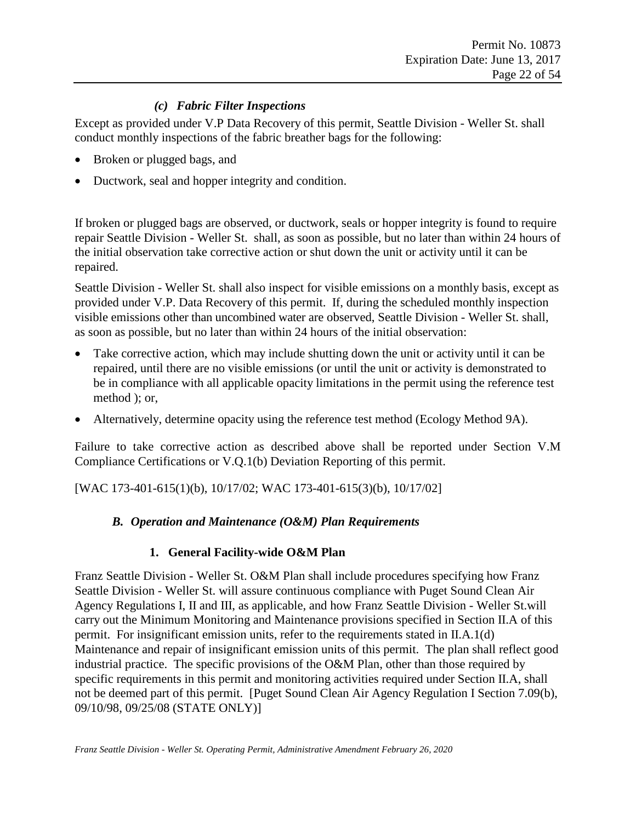### *(c) Fabric Filter Inspections*

Except as provided under V.P Data Recovery of this permit, Seattle Division - Weller St. shall conduct monthly inspections of the fabric breather bags for the following:

- Broken or plugged bags, and
- Ductwork, seal and hopper integrity and condition.

If broken or plugged bags are observed, or ductwork, seals or hopper integrity is found to require repair Seattle Division - Weller St. shall, as soon as possible, but no later than within 24 hours of the initial observation take corrective action or shut down the unit or activity until it can be repaired.

<span id="page-21-1"></span>Seattle Division - Weller St. shall also inspect for visible emissions on a monthly basis, except as provided under V.P. Data Recovery of this permit. If, during the scheduled monthly inspection visible emissions other than uncombined water are observed, Seattle Division - Weller St. shall, as soon as possible, but no later than within 24 hours of the initial observation:

- <span id="page-21-2"></span>Take corrective action, which may include shutting down the unit or activity until it can be repaired, until there are no visible emissions (or until the unit or activity is demonstrated to be in compliance with all applicable opacity limitations in the permit using the reference test method ); or,
- Alternatively, determine opacity using the reference test method (Ecology Method 9A).

Failure to take corrective action as described above shall be reported under Section V.M Compliance Certifications or V.Q.1(b) Deviation Reporting of this permit.

<span id="page-21-0"></span>[WAC 173-401-615(1)(b), 10/17/02; WAC 173-401-615(3)(b), 10/17/02]

#### *B. Operation and Maintenance (O&M) Plan Requirements*

#### **1. General Facility-wide O&M Plan**

Franz Seattle Division - Weller St. O&M Plan shall include procedures specifying how Franz Seattle Division - Weller St. will assure continuous compliance with Puget Sound Clean Air Agency Regulations I, II and III, as applicable, and how Franz Seattle Division - Weller St.will carry out the Minimum Monitoring and Maintenance provisions specified in Section II.A of this permit. For insignificant emission units, refer to the requirements stated in II.A.1(d) [Maintenance and repair of insignificant emission units](#page-19-2) of this permit. The plan shall reflect good industrial practice. The specific provisions of the O&M Plan, other than those required by specific requirements in this permit and monitoring activities required under Section II.A, shall not be deemed part of this permit. [Puget Sound Clean Air Agency Regulation I Section 7.09(b), 09/10/98, 09/25/08 (STATE ONLY)]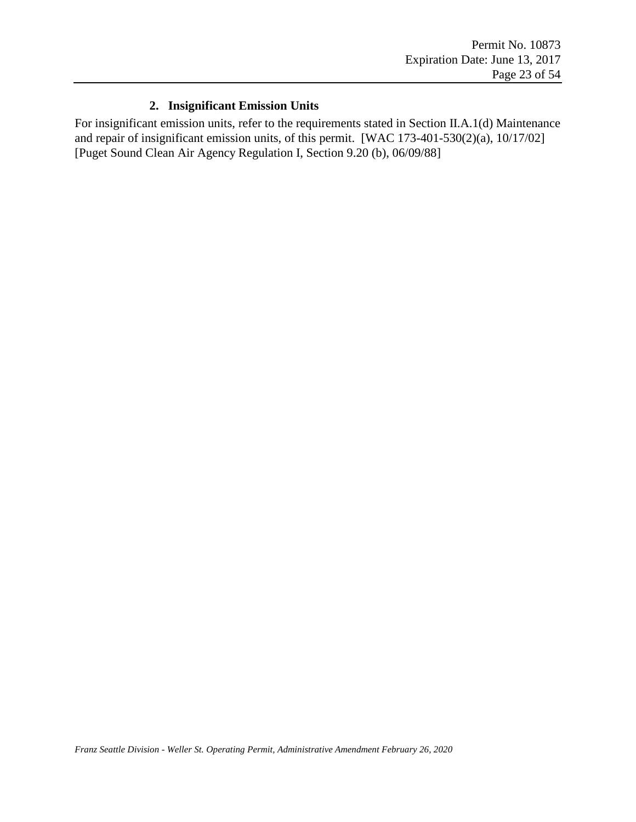### **2. Insignificant Emission Units**

For insignificant emission units, refer to the requirements stated in Section II.A.1(d) [Maintenance](#page-19-2)  [and repair of insignificant emission units,](#page-19-2) of this permit. [WAC 173-401-530(2)(a), 10/17/02] [Puget Sound Clean Air Agency Regulation I, Section 9.20 (b), 06/09/88]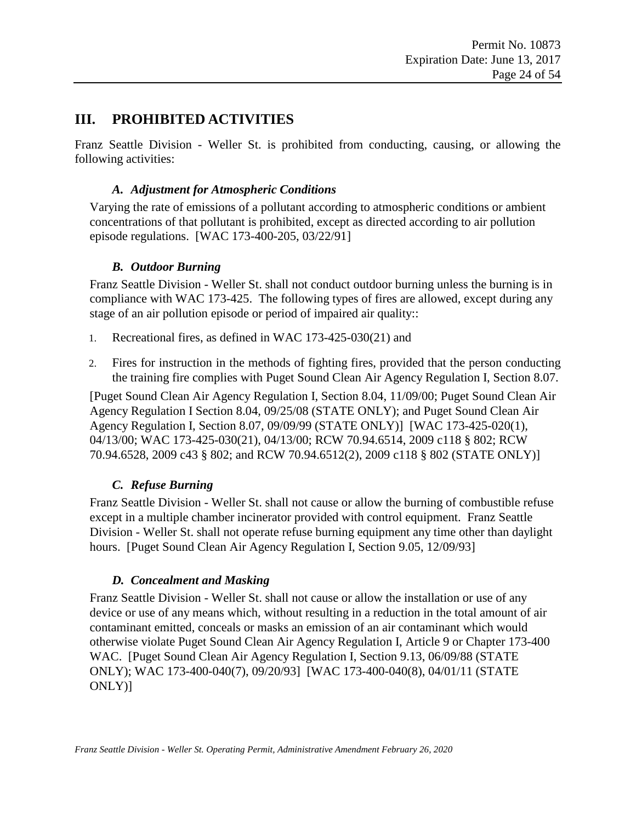### <span id="page-23-0"></span>**III. PROHIBITED ACTIVITIES**

<span id="page-23-1"></span>Franz Seattle Division - Weller St. is prohibited from conducting, causing, or allowing the following activities:

#### *A. Adjustment for Atmospheric Conditions*

Varying the rate of emissions of a pollutant according to atmospheric conditions or ambient concentrations of that pollutant is prohibited, except as directed according to air pollution episode regulations. [WAC 173-400-205, 03/22/91]

#### *B. Outdoor Burning*

<span id="page-23-2"></span>Franz Seattle Division - Weller St. shall not conduct outdoor burning unless the burning is in compliance with WAC 173-425. The following types of fires are allowed, except during any stage of an air pollution episode or period of impaired air quality::

- 1. Recreational fires, as defined in WAC 173-425-030(21) and
- 2. Fires for instruction in the methods of fighting fires, provided that the person conducting the training fire complies with Puget Sound Clean Air Agency Regulation I, Section 8.07.

[Puget Sound Clean Air Agency Regulation I, Section 8.04, 11/09/00; Puget Sound Clean Air Agency Regulation I Section 8.04, 09/25/08 (STATE ONLY); and Puget Sound Clean Air Agency Regulation I, Section 8.07, 09/09/99 (STATE ONLY)] [WAC 173-425-020(1), 04/13/00; WAC 173-425-030(21), 04/13/00; RCW 70.94.6514, 2009 c118 § 802; RCW 70.94.6528, 2009 c43 § 802; and RCW 70.94.6512(2), 2009 c118 § 802 (STATE ONLY)]

### *C. Refuse Burning*

<span id="page-23-3"></span>Franz Seattle Division - Weller St. shall not cause or allow the burning of combustible refuse except in a multiple chamber incinerator provided with control equipment. Franz Seattle Division - Weller St. shall not operate refuse burning equipment any time other than daylight hours. [Puget Sound Clean Air Agency Regulation I, Section 9.05, 12/09/93]

### *D. Concealment and Masking*

<span id="page-23-4"></span>Franz Seattle Division - Weller St. shall not cause or allow the installation or use of any device or use of any means which, without resulting in a reduction in the total amount of air contaminant emitted, conceals or masks an emission of an air contaminant which would otherwise violate Puget Sound Clean Air Agency Regulation I, Article 9 or Chapter 173-400 WAC. [Puget Sound Clean Air Agency Regulation I, Section 9.13, 06/09/88 (STATE ONLY); WAC 173-400-040(7), 09/20/93] [WAC 173-400-040(8), 04/01/11 (STATE ONLY)]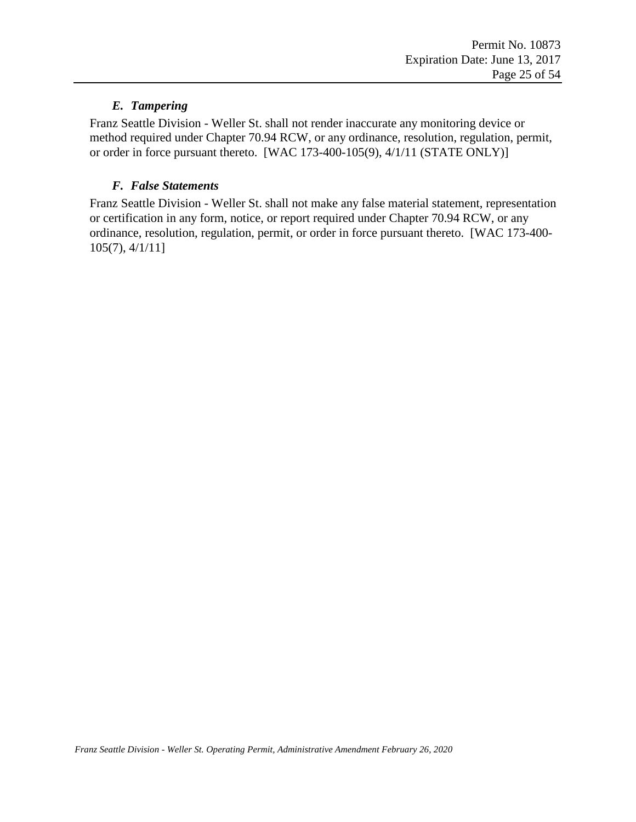### *E. Tampering*

<span id="page-24-0"></span>Franz Seattle Division - Weller St. shall not render inaccurate any monitoring device or method required under Chapter 70.94 RCW, or any ordinance, resolution, regulation, permit, or order in force pursuant thereto. [WAC 173-400-105(9), 4/1/11 (STATE ONLY)]

#### *F. False Statements*

<span id="page-24-1"></span>Franz Seattle Division - Weller St. shall not make any false material statement, representation or certification in any form, notice, or report required under Chapter 70.94 RCW, or any ordinance, resolution, regulation, permit, or order in force pursuant thereto. [WAC 173-400- 105(7), 4/1/11]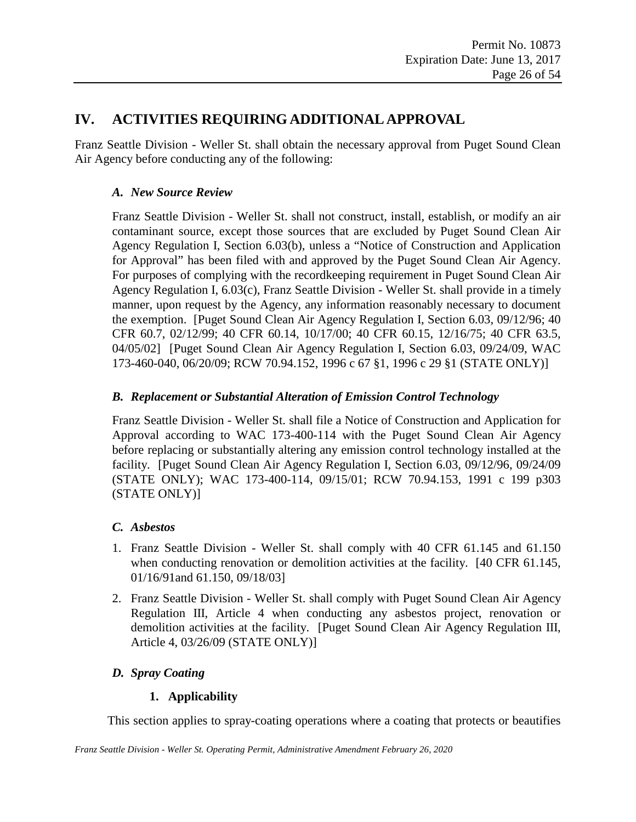### <span id="page-25-0"></span>**IV. ACTIVITIES REQUIRING ADDITIONAL APPROVAL**

<span id="page-25-1"></span>Franz Seattle Division - Weller St. shall obtain the necessary approval from Puget Sound Clean Air Agency before conducting any of the following:

#### *A. New Source Review*

Franz Seattle Division - Weller St. shall not construct, install, establish, or modify an air contaminant source, except those sources that are excluded by Puget Sound Clean Air Agency Regulation I, Section 6.03(b), unless a "Notice of Construction and Application for Approval" has been filed with and approved by the Puget Sound Clean Air Agency. For purposes of complying with the recordkeeping requirement in Puget Sound Clean Air Agency Regulation I, 6.03(c), Franz Seattle Division - Weller St. shall provide in a timely manner, upon request by the Agency, any information reasonably necessary to document the exemption. [Puget Sound Clean Air Agency Regulation I, Section 6.03, 09/12/96; 40 CFR 60.7, 02/12/99; 40 CFR 60.14, 10/17/00; 40 CFR 60.15, 12/16/75; 40 CFR 63.5, 04/05/02] [Puget Sound Clean Air Agency Regulation I, Section 6.03, 09/24/09, WAC 173-460-040, 06/20/09; RCW 70.94.152, 1996 c 67 §1, 1996 c 29 §1 (STATE ONLY)]

#### <span id="page-25-2"></span>*B. Replacement or Substantial Alteration of Emission Control Technology*

Franz Seattle Division - Weller St. shall file a Notice of Construction and Application for Approval according to WAC 173-400-114 with the Puget Sound Clean Air Agency before replacing or substantially altering any emission control technology installed at the facility. [Puget Sound Clean Air Agency Regulation I, Section 6.03, 09/12/96, 09/24/09 (STATE ONLY); WAC 173-400-114, 09/15/01; RCW 70.94.153, 1991 c 199 p303 (STATE ONLY)]

### <span id="page-25-3"></span>*C. Asbestos*

- 1. Franz Seattle Division Weller St. shall comply with 40 CFR 61.145 and 61.150 when conducting renovation or demolition activities at the facility. [40 CFR 61.145, 01/16/91and 61.150, 09/18/03]
- 2. Franz Seattle Division Weller St. shall comply with Puget Sound Clean Air Agency Regulation III, Article 4 when conducting any asbestos project, renovation or demolition activities at the facility. [Puget Sound Clean Air Agency Regulation III, Article 4, 03/26/09 (STATE ONLY)]

### <span id="page-25-4"></span>*D. Spray Coating*

### **1. Applicability**

This section applies to spray-coating operations where a coating that protects or beautifies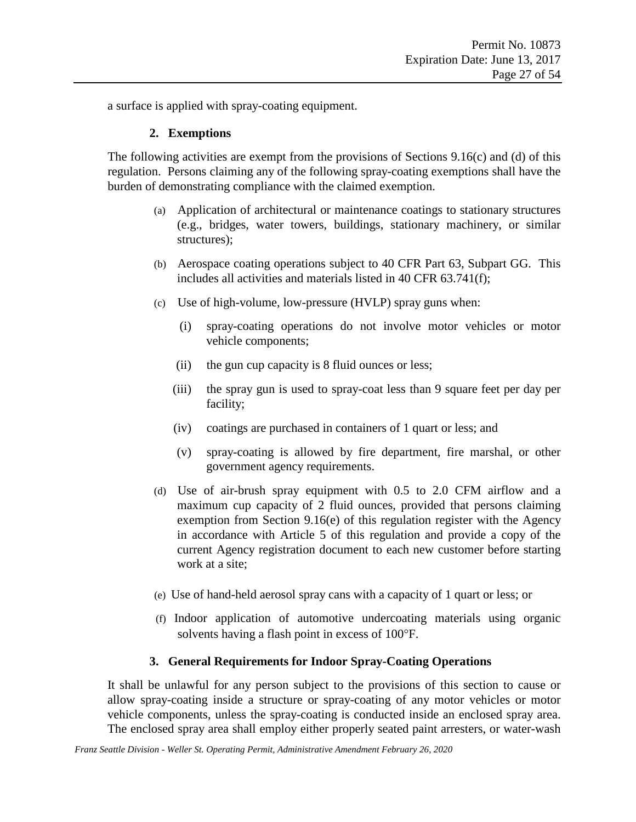a surface is applied with spray-coating equipment.

#### **2. Exemptions**

The following activities are exempt from the provisions of Sections 9.16(c) and (d) of this regulation. Persons claiming any of the following spray-coating exemptions shall have the burden of demonstrating compliance with the claimed exemption.

- (a) Application of architectural or maintenance coatings to stationary structures (e.g., bridges, water towers, buildings, stationary machinery, or similar structures);
- (b) Aerospace coating operations subject to 40 CFR Part 63, Subpart GG. This includes all activities and materials listed in 40 CFR 63.741(f);
- (c) Use of high-volume, low-pressure (HVLP) spray guns when:
	- (i) spray-coating operations do not involve motor vehicles or motor vehicle components;
	- (ii) the gun cup capacity is 8 fluid ounces or less;
	- (iii) the spray gun is used to spray-coat less than 9 square feet per day per facility;
	- (iv) coatings are purchased in containers of 1 quart or less; and
	- (v) spray-coating is allowed by fire department, fire marshal, or other government agency requirements.
- (d) Use of air-brush spray equipment with 0.5 to 2.0 CFM airflow and a maximum cup capacity of 2 fluid ounces, provided that persons claiming exemption from Section 9.16(e) of this regulation register with the Agency in accordance with Article 5 of this regulation and provide a copy of the current Agency registration document to each new customer before starting work at a site;
- (e) Use of hand-held aerosol spray cans with a capacity of 1 quart or less; or
- (f) Indoor application of automotive undercoating materials using organic solvents having a flash point in excess of 100°F.

#### **3. General Requirements for Indoor Spray-Coating Operations**

It shall be unlawful for any person subject to the provisions of this section to cause or allow spray-coating inside a structure or spray-coating of any motor vehicles or motor vehicle components, unless the spray-coating is conducted inside an enclosed spray area. The enclosed spray area shall employ either properly seated paint arresters, or water-wash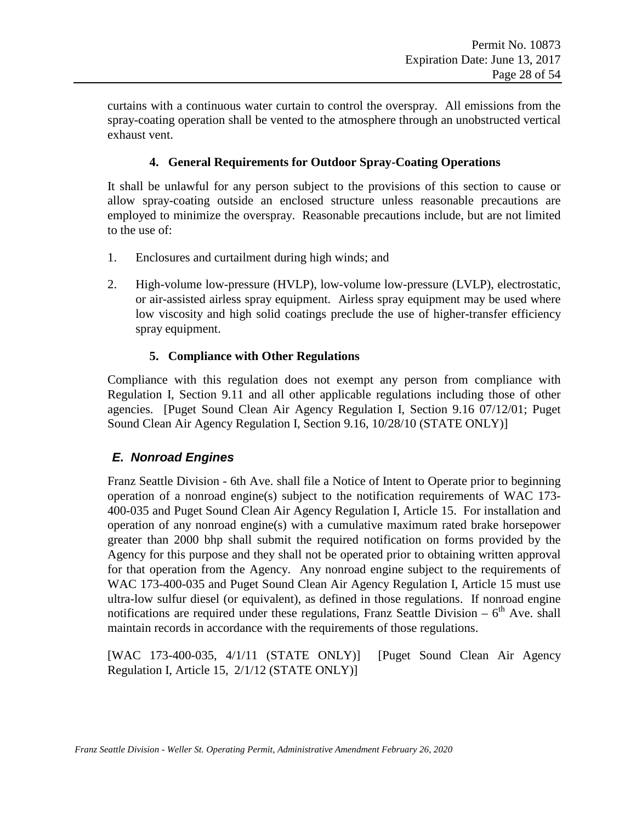curtains with a continuous water curtain to control the overspray. All emissions from the spray-coating operation shall be vented to the atmosphere through an unobstructed vertical exhaust vent.

### **4. General Requirements for Outdoor Spray-Coating Operations**

It shall be unlawful for any person subject to the provisions of this section to cause or allow spray-coating outside an enclosed structure unless reasonable precautions are employed to minimize the overspray. Reasonable precautions include, but are not limited to the use of:

- 1. Enclosures and curtailment during high winds; and
- 2. High-volume low-pressure (HVLP), low-volume low-pressure (LVLP), electrostatic, or air-assisted airless spray equipment. Airless spray equipment may be used where low viscosity and high solid coatings preclude the use of higher-transfer efficiency spray equipment.

#### **5. Compliance with Other Regulations**

Compliance with this regulation does not exempt any person from compliance with Regulation I, Section 9.11 and all other applicable regulations including those of other agencies. [Puget Sound Clean Air Agency Regulation I, Section 9.16 07/12/01; Puget Sound Clean Air Agency Regulation I, Section 9.16, 10/28/10 (STATE ONLY)]

### <span id="page-27-0"></span>*E. Nonroad Engines*

Franz Seattle Division - 6th Ave. shall file a Notice of Intent to Operate prior to beginning operation of a nonroad engine(s) subject to the notification requirements of WAC 173- 400-035 and Puget Sound Clean Air Agency Regulation I, Article 15. For installation and operation of any nonroad engine(s) with a cumulative maximum rated brake horsepower greater than 2000 bhp shall submit the required notification on forms provided by the Agency for this purpose and they shall not be operated prior to obtaining written approval for that operation from the Agency. Any nonroad engine subject to the requirements of WAC 173-400-035 and Puget Sound Clean Air Agency Regulation I, Article 15 must use ultra-low sulfur diesel (or equivalent), as defined in those regulations. If nonroad engine notifications are required under these regulations, Franz Seattle Division  $-6^{th}$  Ave. shall maintain records in accordance with the requirements of those regulations.

[WAC 173-400-035, 4/1/11 (STATE ONLY)] [Puget Sound Clean Air Agency Regulation I, Article 15, 2/1/12 (STATE ONLY)]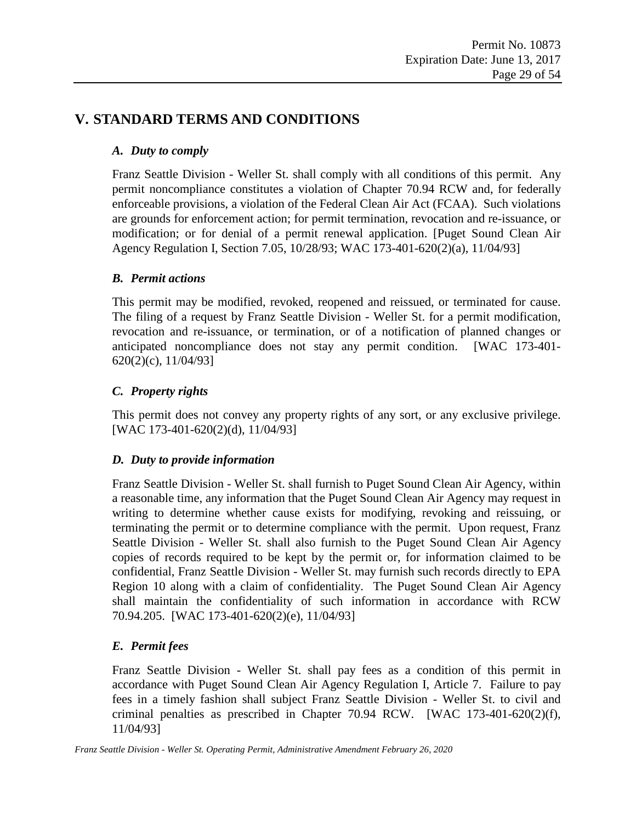### <span id="page-28-1"></span><span id="page-28-0"></span>**V. STANDARD TERMS AND CONDITIONS**

### *A. Duty to comply*

Franz Seattle Division - Weller St. shall comply with all conditions of this permit. Any permit noncompliance constitutes a violation of Chapter 70.94 RCW and, for federally enforceable provisions, a violation of the Federal Clean Air Act (FCAA). Such violations are grounds for enforcement action; for permit termination, revocation and re-issuance, or modification; or for denial of a permit renewal application. [Puget Sound Clean Air Agency Regulation I, Section 7.05, 10/28/93; WAC 173-401-620(2)(a), 11/04/93]

#### <span id="page-28-2"></span>*B. Permit actions*

This permit may be modified, revoked, reopened and reissued, or terminated for cause. The filing of a request by Franz Seattle Division - Weller St. for a permit modification, revocation and re-issuance, or termination, or of a notification of planned changes or anticipated noncompliance does not stay any permit condition. [WAC 173-401- 620(2)(c), 11/04/93]

#### <span id="page-28-3"></span>*C. Property rights*

This permit does not convey any property rights of any sort, or any exclusive privilege. [WAC 173-401-620(2)(d), 11/04/93]

### <span id="page-28-4"></span>*D. Duty to provide information*

Franz Seattle Division - Weller St. shall furnish to Puget Sound Clean Air Agency, within a reasonable time, any information that the Puget Sound Clean Air Agency may request in writing to determine whether cause exists for modifying, revoking and reissuing, or terminating the permit or to determine compliance with the permit. Upon request, Franz Seattle Division - Weller St. shall also furnish to the Puget Sound Clean Air Agency copies of records required to be kept by the permit or, for information claimed to be confidential, Franz Seattle Division - Weller St. may furnish such records directly to EPA Region 10 along with a claim of confidentiality. The Puget Sound Clean Air Agency shall maintain the confidentiality of such information in accordance with RCW 70.94.205. [WAC 173-401-620(2)(e), 11/04/93]

### <span id="page-28-5"></span>*E. Permit fees*

Franz Seattle Division - Weller St. shall pay fees as a condition of this permit in accordance with Puget Sound Clean Air Agency Regulation I, Article 7. Failure to pay fees in a timely fashion shall subject Franz Seattle Division - Weller St. to civil and criminal penalties as prescribed in Chapter 70.94 RCW. [WAC 173-401-620(2)(f), 11/04/93]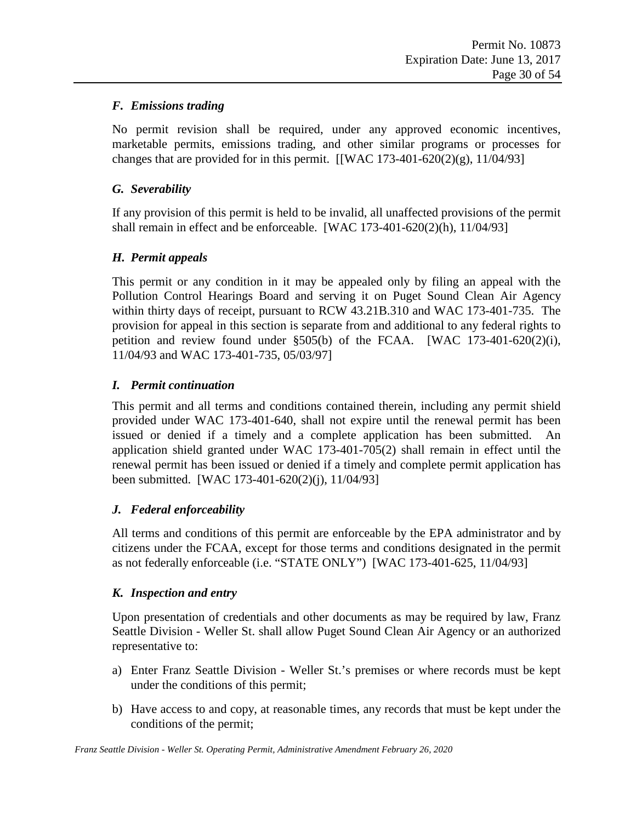#### <span id="page-29-0"></span>*F. Emissions trading*

No permit revision shall be required, under any approved economic incentives, marketable permits, emissions trading, and other similar programs or processes for changes that are provided for in this permit.  $\left[\text{WAC } 173 - 401 - 620(2)(g), 11/04/93\right]$ 

#### <span id="page-29-1"></span>*G. Severability*

If any provision of this permit is held to be invalid, all unaffected provisions of the permit shall remain in effect and be enforceable. [WAC  $173-401-620(2)(h)$ ,  $11/04/93$ ]

#### <span id="page-29-2"></span>*H. Permit appeals*

This permit or any condition in it may be appealed only by filing an appeal with the Pollution Control Hearings Board and serving it on Puget Sound Clean Air Agency within thirty days of receipt, pursuant to RCW 43.21B.310 and WAC 173-401-735. The provision for appeal in this section is separate from and additional to any federal rights to petition and review found under §505(b) of the FCAA. [WAC 173-401-620(2)(i), 11/04/93 and WAC 173-401-735, 05/03/97]

#### <span id="page-29-3"></span>*I. Permit continuation*

This permit and all terms and conditions contained therein, including any permit shield provided under WAC 173-401-640, shall not expire until the renewal permit has been issued or denied if a timely and a complete application has been submitted. An application shield granted under WAC 173-401-705(2) shall remain in effect until the renewal permit has been issued or denied if a timely and complete permit application has been submitted. [WAC 173-401-620(2)(j), 11/04/93]

#### <span id="page-29-4"></span>*J. Federal enforceability*

All terms and conditions of this permit are enforceable by the EPA administrator and by citizens under the FCAA, except for those terms and conditions designated in the permit as not federally enforceable (i.e. "STATE ONLY") [WAC 173-401-625, 11/04/93]

#### <span id="page-29-5"></span>*K. Inspection and entry*

Upon presentation of credentials and other documents as may be required by law, Franz Seattle Division - Weller St. shall allow Puget Sound Clean Air Agency or an authorized representative to:

- a) Enter Franz Seattle Division Weller St.'s premises or where records must be kept under the conditions of this permit;
- b) Have access to and copy, at reasonable times, any records that must be kept under the conditions of the permit;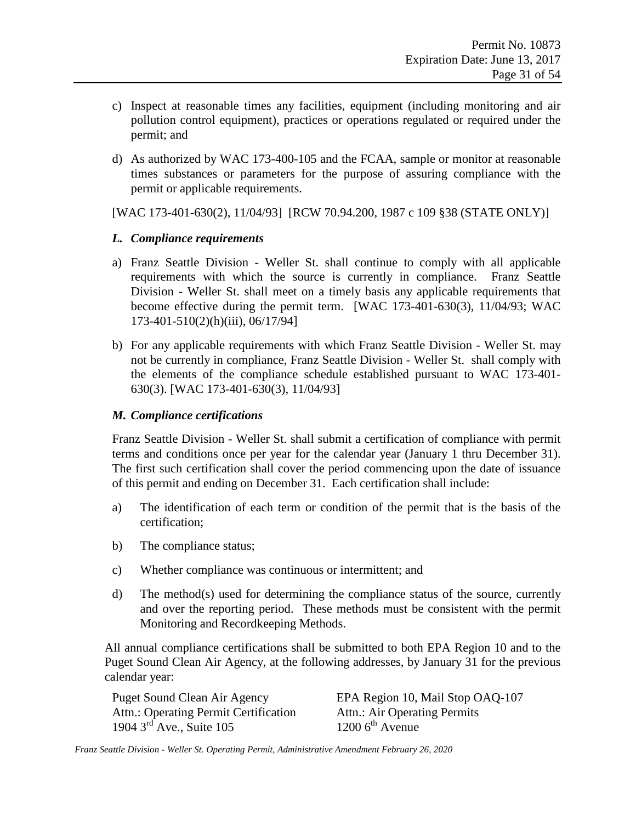- c) Inspect at reasonable times any facilities, equipment (including monitoring and air pollution control equipment), practices or operations regulated or required under the permit; and
- d) As authorized by WAC 173-400-105 and the FCAA, sample or monitor at reasonable times substances or parameters for the purpose of assuring compliance with the permit or applicable requirements.

[WAC 173-401-630(2), 11/04/93] [RCW 70.94.200, 1987 c 109 §38 (STATE ONLY)]

#### <span id="page-30-0"></span>*L. Compliance requirements*

- a) Franz Seattle Division Weller St. shall continue to comply with all applicable requirements with which the source is currently in compliance. Franz Seattle Division - Weller St. shall meet on a timely basis any applicable requirements that become effective during the permit term. [WAC 173-401-630(3), 11/04/93; WAC 173-401-510(2)(h)(iii), 06/17/94]
- b) For any applicable requirements with which Franz Seattle Division Weller St. may not be currently in compliance, Franz Seattle Division - Weller St. shall comply with the elements of the compliance schedule established pursuant to WAC 173-401- 630(3). [WAC 173-401-630(3), 11/04/93]

#### <span id="page-30-1"></span>*M. Compliance certifications*

Franz Seattle Division - Weller St. shall submit a certification of compliance with permit terms and conditions once per year for the calendar year (January 1 thru December 31). The first such certification shall cover the period commencing upon the date of issuance of this permit and ending on December 31. Each certification shall include:

- a) The identification of each term or condition of the permit that is the basis of the certification;
- b) The compliance status;
- c) Whether compliance was continuous or intermittent; and
- d) The method(s) used for determining the compliance status of the source, currently and over the reporting period. These methods must be consistent with the permit Monitoring and Recordkeeping Methods.

All annual compliance certifications shall be submitted to both EPA Region 10 and to the Puget Sound Clean Air Agency, at the following addresses, by January 31 for the previous calendar year:

Attn.: Operating Permit Certification Attn.: Air Operating Permits<br>1904 3<sup>rd</sup> Ave., Suite 105 1200 6<sup>th</sup> Avenue 1904  $3<sup>rd</sup>$  Ave., Suite 105

Puget Sound Clean Air Agency EPA Region 10, Mail Stop OAQ-107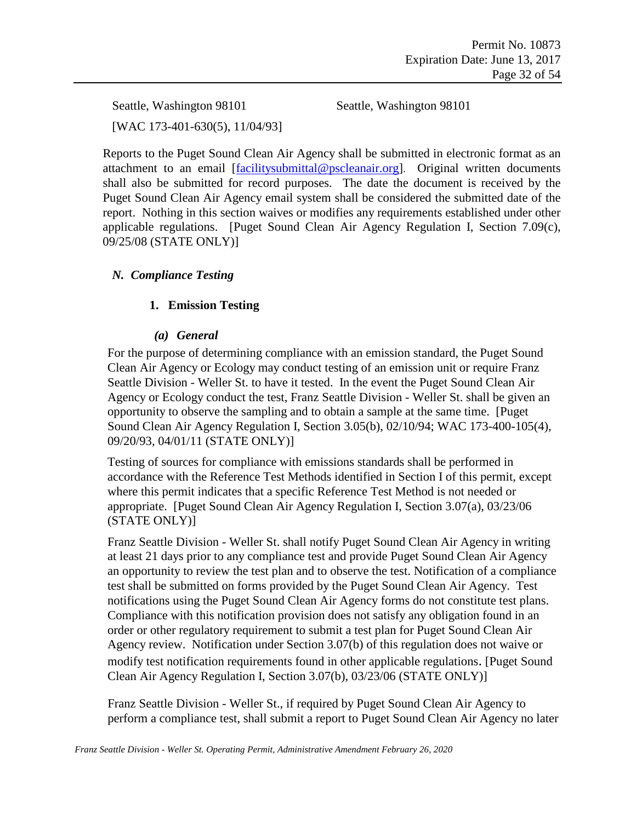Seattle, Washington 98101 Seattle, Washington 98101 [WAC 173-401-630(5), 11/04/93]

Reports to the Puget Sound Clean Air Agency shall be submitted in electronic format as an attachment to an email [\[facilitysubmittal@pscleanair.org\]](mailto:facilitysubmittal@pscleanair.org). Original written documents shall also be submitted for record purposes. The date the document is received by the Puget Sound Clean Air Agency email system shall be considered the submitted date of the report. Nothing in this section waives or modifies any requirements established under other applicable regulations. [Puget Sound Clean Air Agency Regulation I, Section 7.09(c), 09/25/08 (STATE ONLY)]

#### <span id="page-31-0"></span>*N. Compliance Testing*

#### **1. Emission Testing**

#### *(a) General*

For the purpose of determining compliance with an emission standard, the Puget Sound Clean Air Agency or Ecology may conduct testing of an emission unit or require Franz Seattle Division - Weller St. to have it tested. In the event the Puget Sound Clean Air Agency or Ecology conduct the test, Franz Seattle Division - Weller St. shall be given an opportunity to observe the sampling and to obtain a sample at the same time. [Puget Sound Clean Air Agency Regulation I, Section 3.05(b), 02/10/94; WAC 173-400-105(4), 09/20/93, 04/01/11 (STATE ONLY)]

Testing of sources for compliance with emissions standards shall be performed in accordance with the Reference Test Methods identified in Section I of this permit, except where this permit indicates that a specific Reference Test Method is not needed or appropriate. [Puget Sound Clean Air Agency Regulation I, Section 3.07(a), 03/23/06 (STATE ONLY)]

Franz Seattle Division - Weller St. shall notify Puget Sound Clean Air Agency in writing at least 21 days prior to any compliance test and provide Puget Sound Clean Air Agency an opportunity to review the test plan and to observe the test. Notification of a compliance test shall be submitted on forms provided by the Puget Sound Clean Air Agency. Test notifications using the Puget Sound Clean Air Agency forms do not constitute test plans. Compliance with this notification provision does not satisfy any obligation found in an order or other regulatory requirement to submit a test plan for Puget Sound Clean Air Agency review. Notification under Section 3.07(b) of this regulation does not waive or modify test notification requirements found in other applicable regulations. [Puget Sound Clean Air Agency Regulation I, Section 3.07(b), 03/23/06 (STATE ONLY)]

Franz Seattle Division - Weller St., if required by Puget Sound Clean Air Agency to perform a compliance test, shall submit a report to Puget Sound Clean Air Agency no later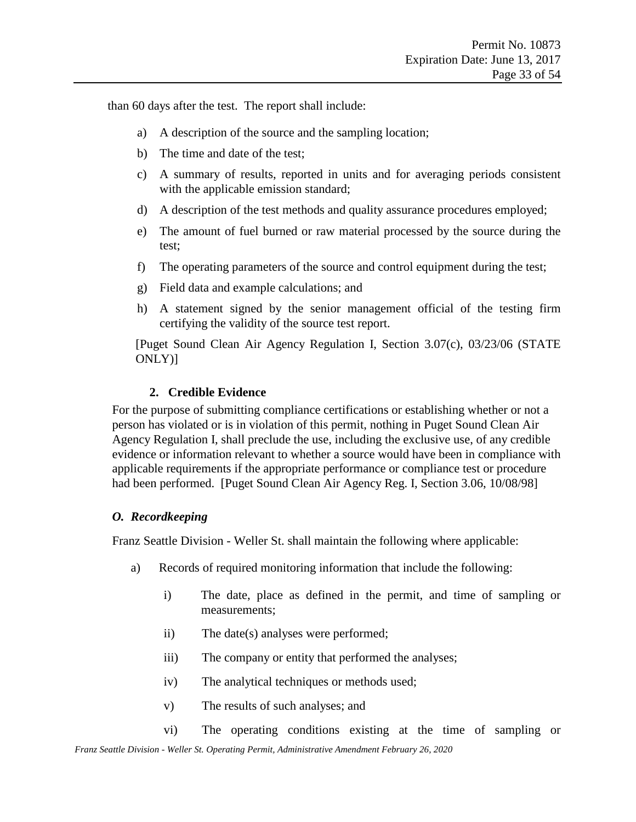than 60 days after the test. The report shall include:

- a) A description of the source and the sampling location;
- b) The time and date of the test;
- c) A summary of results, reported in units and for averaging periods consistent with the applicable emission standard;
- d) A description of the test methods and quality assurance procedures employed;
- e) The amount of fuel burned or raw material processed by the source during the test;
- f) The operating parameters of the source and control equipment during the test;
- g) Field data and example calculations; and
- h) A statement signed by the senior management official of the testing firm certifying the validity of the source test report.

[Puget Sound Clean Air Agency Regulation I, Section 3.07(c), 03/23/06 (STATE ONLY)]

#### **2. Credible Evidence**

For the purpose of submitting compliance certifications or establishing whether or not a person has violated or is in violation of this permit, nothing in Puget Sound Clean Air Agency Regulation I, shall preclude the use, including the exclusive use, of any credible evidence or information relevant to whether a source would have been in compliance with applicable requirements if the appropriate performance or compliance test or procedure had been performed. [Puget Sound Clean Air Agency Reg. I, Section 3.06, 10/08/98]

#### <span id="page-32-0"></span>*O. Recordkeeping*

Franz Seattle Division - Weller St. shall maintain the following where applicable:

- a) Records of required monitoring information that include the following:
	- i) The date, place as defined in the permit, and time of sampling or measurements;
	- ii) The date(s) analyses were performed;
	- iii) The company or entity that performed the analyses;
	- iv) The analytical techniques or methods used;
	- v) The results of such analyses; and
- *Franz Seattle Division - Weller St. Operating Permit, Administrative Amendment February 26, 2020* vi) The operating conditions existing at the time of sampling or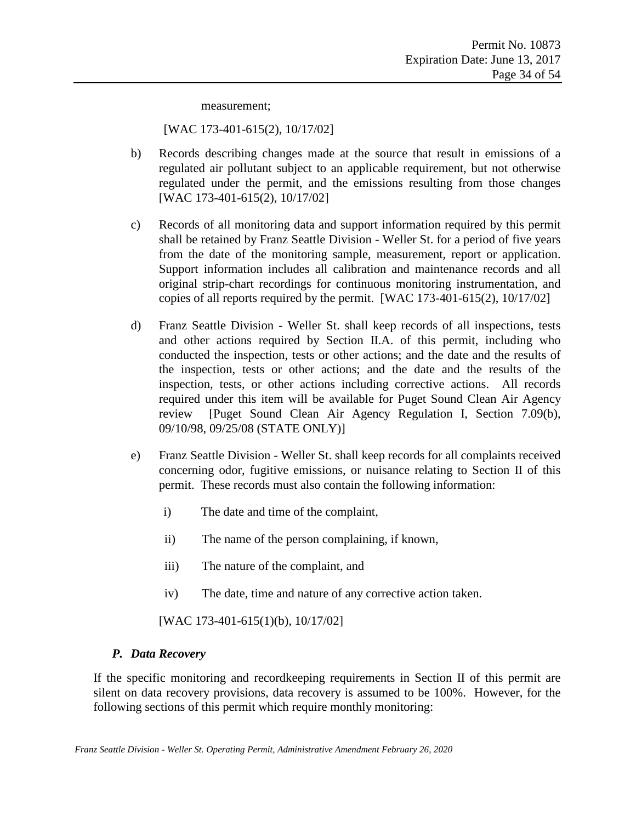measurement;

[WAC 173-401-615(2), 10/17/02]

- b) Records describing changes made at the source that result in emissions of a regulated air pollutant subject to an applicable requirement, but not otherwise regulated under the permit, and the emissions resulting from those changes [WAC 173-401-615(2), 10/17/02]
- c) Records of all monitoring data and support information required by this permit shall be retained by Franz Seattle Division - Weller St. for a period of five years from the date of the monitoring sample, measurement, report or application. Support information includes all calibration and maintenance records and all original strip-chart recordings for continuous monitoring instrumentation, and copies of all reports required by the permit. [WAC 173-401-615(2), 10/17/02]
- d) Franz Seattle Division Weller St. shall keep records of all inspections, tests and other actions required by Section II.A. of this permit, including who conducted the inspection, tests or other actions; and the date and the results of the inspection, tests or other actions; and the date and the results of the inspection, tests, or other actions including corrective actions. All records required under this item will be available for Puget Sound Clean Air Agency review [Puget Sound Clean Air Agency Regulation I, Section 7.09(b), 09/10/98, 09/25/08 (STATE ONLY)]
- e) Franz Seattle Division Weller St. shall keep records for all complaints received concerning odor, fugitive emissions, or nuisance relating to Section II of this permit. These records must also contain the following information:
	- i) The date and time of the complaint,
	- ii) The name of the person complaining, if known,
	- iii) The nature of the complaint, and
	- iv) The date, time and nature of any corrective action taken.

[WAC 173-401-615(1)(b), 10/17/02]

#### <span id="page-33-0"></span>*P. Data Recovery*

If the specific monitoring and recordkeeping requirements in Section II of this permit are silent on data recovery provisions, data recovery is assumed to be 100%. However, for the following sections of this permit which require monthly monitoring: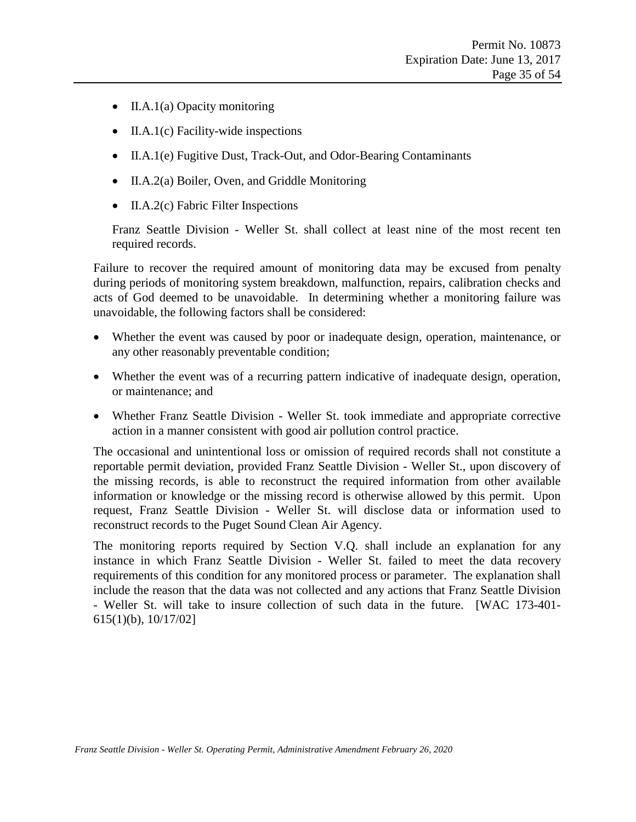- II.A.1(a) Opacity monitoring
- II.A.1(c) Facility-wide inspections
- II.A.1(e) Fugitive Dust, Track-Out, and Odor-Bearing Contaminants
- II.A.2(a) Boiler, Oven, and Griddle Monitoring
- II.A.2(c) Fabric Filter Inspections

Franz Seattle Division - Weller St. shall collect at least nine of the most recent ten required records.

Failure to recover the required amount of monitoring data may be excused from penalty during periods of monitoring system breakdown, malfunction, repairs, calibration checks and acts of God deemed to be unavoidable. In determining whether a monitoring failure was unavoidable, the following factors shall be considered:

- Whether the event was caused by poor or inadequate design, operation, maintenance, or any other reasonably preventable condition;
- Whether the event was of a recurring pattern indicative of inadequate design, operation, or maintenance; and
- Whether Franz Seattle Division Weller St. took immediate and appropriate corrective action in a manner consistent with good air pollution control practice.

The occasional and unintentional loss or omission of required records shall not constitute a reportable permit deviation, provided Franz Seattle Division - Weller St., upon discovery of the missing records, is able to reconstruct the required information from other available information or knowledge or the missing record is otherwise allowed by this permit. Upon request, Franz Seattle Division - Weller St. will disclose data or information used to reconstruct records to the Puget Sound Clean Air Agency.

The monitoring reports required by Section V.Q. shall include an explanation for any instance in which Franz Seattle Division - Weller St. failed to meet the data recovery requirements of this condition for any monitored process or parameter. The explanation shall include the reason that the data was not collected and any actions that Franz Seattle Division - Weller St. will take to insure collection of such data in the future. [WAC 173-401- 615(1)(b), 10/17/02]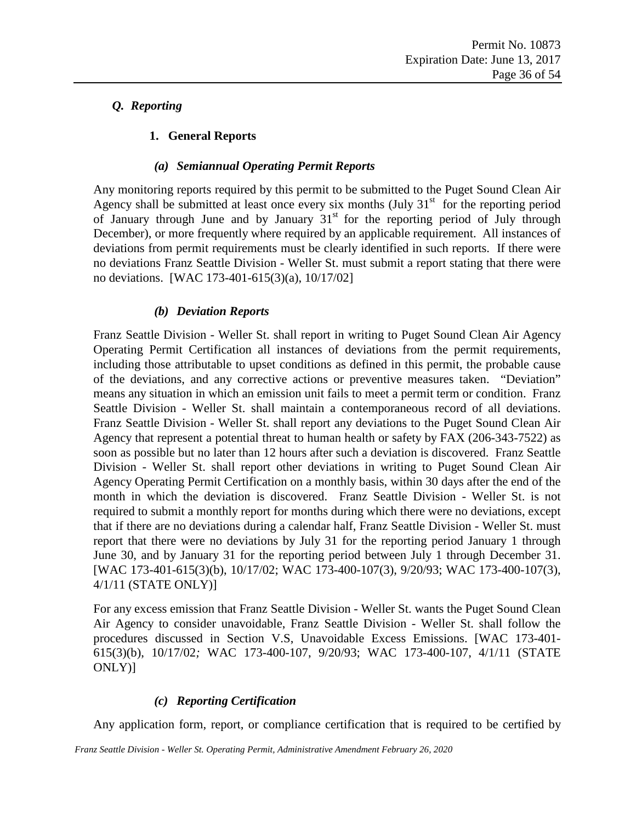### <span id="page-35-0"></span>*Q. Reporting*

#### **1. General Reports**

#### *(a) Semiannual Operating Permit Reports*

<span id="page-35-1"></span>Any monitoring reports required by this permit to be submitted to the Puget Sound Clean Air Agency shall be submitted at least once every six months  $(July 31<sup>st</sup> for the reporting period)$ of January through June and by January  $31<sup>st</sup>$  for the reporting period of July through December), or more frequently where required by an applicable requirement. All instances of deviations from permit requirements must be clearly identified in such reports. If there were no deviations Franz Seattle Division - Weller St. must submit a report stating that there were no deviations. [WAC 173-401-615(3)(a), 10/17/02]

#### *(b) Deviation Reports*

<span id="page-35-2"></span>Franz Seattle Division - Weller St. shall report in writing to Puget Sound Clean Air Agency Operating Permit Certification all instances of deviations from the permit requirements, including those attributable to upset conditions as defined in this permit, the probable cause of the deviations, and any corrective actions or preventive measures taken. "Deviation" means any situation in which an emission unit fails to meet a permit term or condition. Franz Seattle Division - Weller St. shall maintain a contemporaneous record of all deviations. Franz Seattle Division - Weller St. shall report any deviations to the Puget Sound Clean Air Agency that represent a potential threat to human health or safety by FAX (206-343-7522) as soon as possible but no later than 12 hours after such a deviation is discovered. Franz Seattle Division - Weller St. shall report other deviations in writing to Puget Sound Clean Air Agency Operating Permit Certification on a monthly basis, within 30 days after the end of the month in which the deviation is discovered. Franz Seattle Division - Weller St. is not required to submit a monthly report for months during which there were no deviations, except that if there are no deviations during a calendar half, Franz Seattle Division - Weller St. must report that there were no deviations by July 31 for the reporting period January 1 through June 30, and by January 31 for the reporting period between July 1 through December 31. [WAC 173-401-615(3)(b), 10/17/02; WAC 173-400-107(3), 9/20/93; WAC 173-400-107(3), 4/1/11 (STATE ONLY)]

For any excess emission that Franz Seattle Division - Weller St. wants the Puget Sound Clean Air Agency to consider unavoidable, Franz Seattle Division - Weller St. shall follow the procedures discussed in Section V.S, Unavoidable Excess Emissions. [WAC 173-401- 615(3)(b), 10/17/02*;* WAC 173-400-107, 9/20/93; WAC 173-400-107, 4/1/11 (STATE ONLY)]

#### *(c) Reporting Certification*

<span id="page-35-3"></span>Any application form, report, or compliance certification that is required to be certified by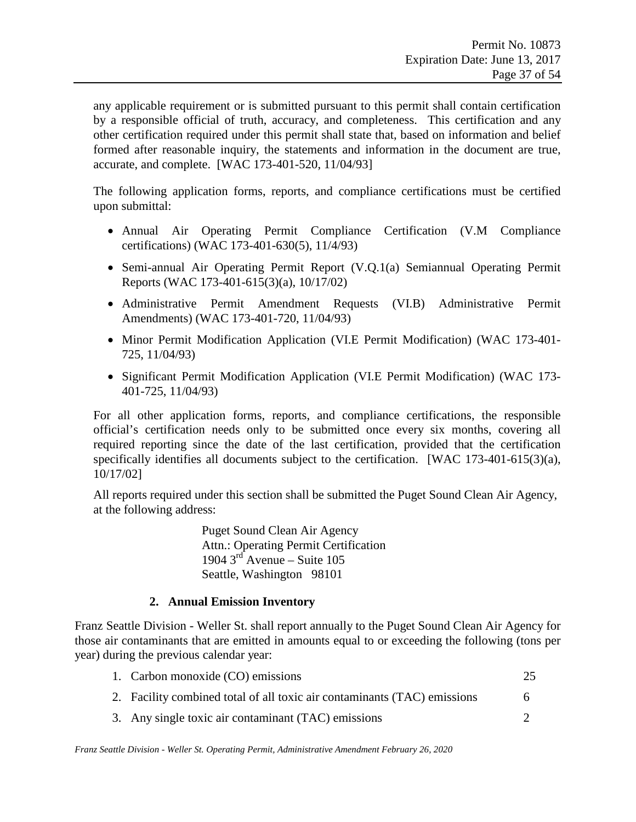any applicable requirement or is submitted pursuant to this permit shall contain certification by a responsible official of truth, accuracy, and completeness. This certification and any other certification required under this permit shall state that, based on information and belief formed after reasonable inquiry, the statements and information in the document are true, accurate, and complete. [WAC 173-401-520, 11/04/93]

The following application forms, reports, and compliance certifications must be certified upon submittal:

- Annual Air Operating Permit Compliance Certification [\(V.M](#page-30-1) [Compliance](#page-30-1)  [certifications\)](#page-30-1) (WAC 173-401-630(5), 11/4/93)
- Semi-annual Air Operating Permit Report [\(V.Q.1\(a\)](#page-35-1) [Semiannual Operating Permit](#page-35-1)  [Reports](#page-35-1) (WAC 173-401-615(3)(a), 10/17/02)
- Administrative Permit Amendment Requests [\(VI.B\)](#page-44-2) [Administrative Permit](#page-44-2)  [Amendments\)](#page-44-2) (WAC 173-401-720, 11/04/93)
- Minor Permit Modification Application [\(VI.E](#page-47-1) [Permit Modification\)](#page-47-1) (WAC 173-401- 725, 11/04/93)
- Significant Permit Modification Application [\(VI.E](#page-47-1) [Permit Modification\)](#page-47-1) (WAC 173- 401-725, 11/04/93)

For all other application forms, reports, and compliance certifications, the responsible official's certification needs only to be submitted once every six months, covering all required reporting since the date of the last certification, provided that the certification specifically identifies all documents subject to the certification. [WAC 173-401-615(3)(a), 10/17/02]

All reports required under this section shall be submitted the Puget Sound Clean Air Agency, at the following address:

> Puget Sound Clean Air Agency Attn.: Operating Permit Certification 1904  $3<sup>rd</sup>$  Avenue – Suite 105 Seattle, Washington 98101

#### **2. Annual Emission Inventory**

Franz Seattle Division - Weller St. shall report annually to the Puget Sound Clean Air Agency for those air contaminants that are emitted in amounts equal to or exceeding the following (tons per year) during the previous calendar year:

| 1. Carbon monoxide (CO) emissions                                        | 25 |
|--------------------------------------------------------------------------|----|
| 2. Facility combined total of all toxic air contaminants (TAC) emissions | h  |
| 3. Any single toxic air contaminant (TAC) emissions                      |    |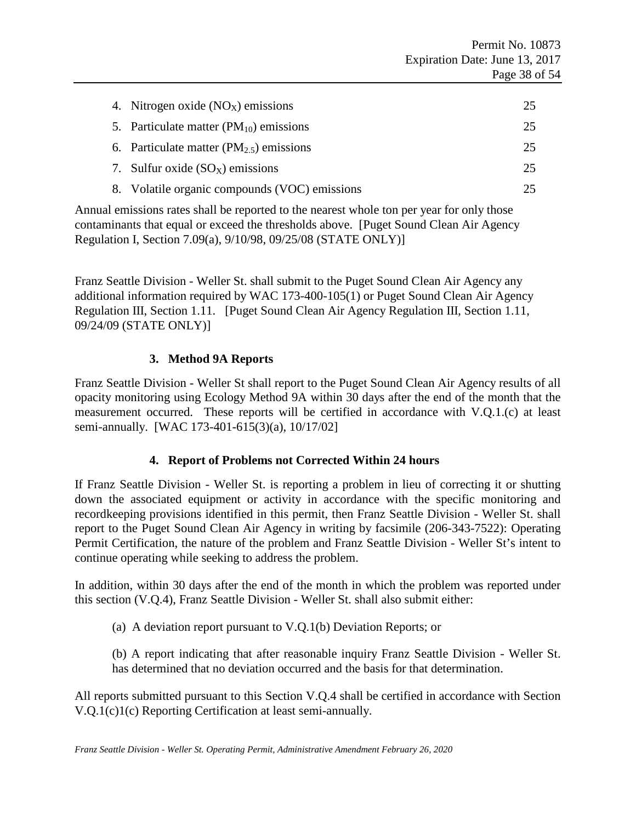| 4. Nitrogen oxide $(NOx)$ emissions           | 25 |
|-----------------------------------------------|----|
| 5. Particulate matter $(PM_{10})$ emissions   | 25 |
| 6. Particulate matter $(PM_{2.5})$ emissions  | 25 |
| 7. Sulfur oxide $(SO_X)$ emissions            | 25 |
| 8. Volatile organic compounds (VOC) emissions |    |

Annual emissions rates shall be reported to the nearest whole ton per year for only those contaminants that equal or exceed the thresholds above. [Puget Sound Clean Air Agency Regulation I, Section 7.09(a), 9/10/98, 09/25/08 (STATE ONLY)]

Franz Seattle Division - Weller St. shall submit to the Puget Sound Clean Air Agency any additional information required by WAC 173-400-105(1) or Puget Sound Clean Air Agency Regulation III, Section 1.11. [Puget Sound Clean Air Agency Regulation III, Section 1.11, 09/24/09 (STATE ONLY)]

#### **3. Method 9A Reports**

Franz Seattle Division - Weller St shall report to the Puget Sound Clean Air Agency results of all opacity monitoring using Ecology Method 9A within 30 days after the end of the month that the measurement occurred. These reports will be certified in accordance with V.Q.1.(c) at least semi-annually. [WAC 173-401-615(3)(a), 10/17/02]

#### **4. Report of Problems not Corrected Within 24 hours**

If Franz Seattle Division - Weller St. is reporting a problem in lieu of correcting it or shutting down the associated equipment or activity in accordance with the specific monitoring and recordkeeping provisions identified in this permit, then Franz Seattle Division - Weller St. shall report to the Puget Sound Clean Air Agency in writing by facsimile (206-343-7522): Operating Permit Certification, the nature of the problem and Franz Seattle Division - Weller St's intent to continue operating while seeking to address the problem.

In addition, within 30 days after the end of the month in which the problem was reported under this section (V.Q.4), Franz Seattle Division - Weller St. shall also submit either:

(a) A deviation report pursuant to [V.Q.1\(b\)](#page-35-2) [Deviation Reports;](#page-35-2) or

(b) A report indicating that after reasonable inquiry Franz Seattle Division - Weller St. has determined that no deviation occurred and the basis for that determination.

All reports submitted pursuant to this Section V.Q.4 shall be certified in accordance with Section [V.Q.1\(c\)1](#page-35-3)(c) [Reporting Certification](#page-35-3) at least semi-annually.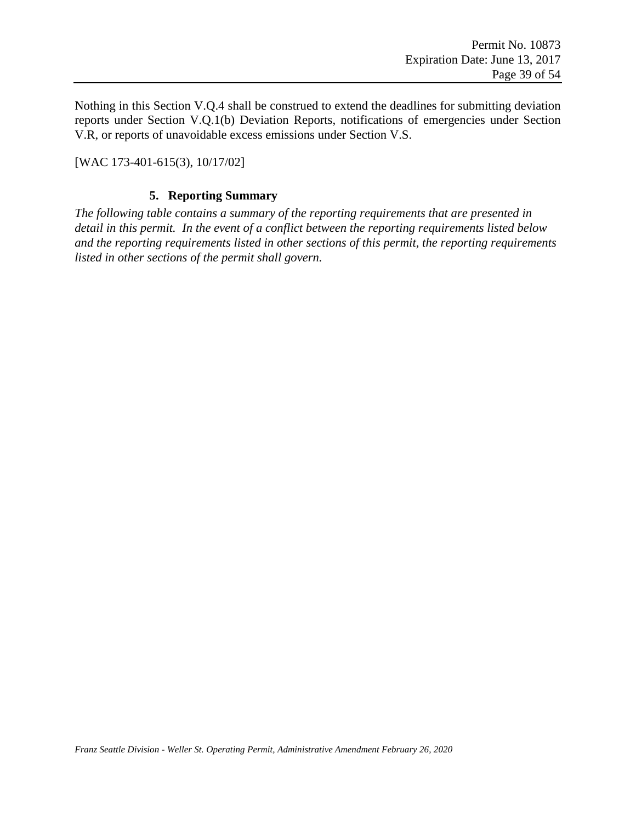Nothing in this Section V.Q.4 shall be construed to extend the deadlines for submitting deviation reports under Section [V.Q.1\(b\)](#page-35-2) [Deviation Reports,](#page-35-2) notifications of emergencies under Section [V.R,](#page-40-0) or reports of unavoidable excess emissions under Section [V.S.](#page-40-1)

[WAC 173-401-615(3), 10/17/02]

#### **5. Reporting Summary**

*The following table contains a summary of the reporting requirements that are presented in detail in this permit. In the event of a conflict between the reporting requirements listed below and the reporting requirements listed in other sections of this permit, the reporting requirements listed in other sections of the permit shall govern.*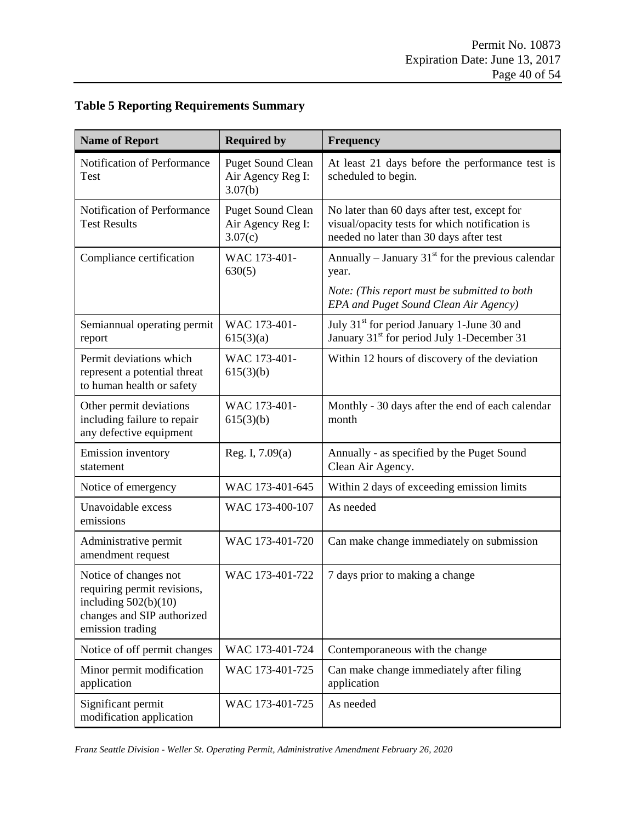### **Table 5 Reporting Requirements Summary**

| <b>Name of Report</b>                                                                                                            | <b>Required by</b>                                       | <b>Frequency</b>                                                                                                                          |
|----------------------------------------------------------------------------------------------------------------------------------|----------------------------------------------------------|-------------------------------------------------------------------------------------------------------------------------------------------|
| Notification of Performance<br>Test                                                                                              | <b>Puget Sound Clean</b><br>Air Agency Reg I:<br>3.07(b) | At least 21 days before the performance test is<br>scheduled to begin.                                                                    |
| Notification of Performance<br><b>Test Results</b>                                                                               | <b>Puget Sound Clean</b><br>Air Agency Reg I:<br>3.07(c) | No later than 60 days after test, except for<br>visual/opacity tests for which notification is<br>needed no later than 30 days after test |
| Compliance certification                                                                                                         | WAC 173-401-<br>630(5)                                   | Annually – January 31 $^{\rm st}$ for the previous calendar<br>year.                                                                      |
|                                                                                                                                  |                                                          | Note: (This report must be submitted to both<br>EPA and Puget Sound Clean Air Agency)                                                     |
| Semiannual operating permit<br>report                                                                                            | WAC 173-401-<br>615(3)(a)                                | July 31 <sup>st</sup> for period January 1-June 30 and<br>January 31 <sup>st</sup> for period July 1-December 31                          |
| Permit deviations which<br>represent a potential threat<br>to human health or safety                                             | WAC 173-401-<br>615(3)(b)                                | Within 12 hours of discovery of the deviation                                                                                             |
| Other permit deviations<br>including failure to repair<br>any defective equipment                                                | WAC 173-401-<br>615(3)(b)                                | Monthly - 30 days after the end of each calendar<br>month                                                                                 |
| <b>Emission</b> inventory<br>statement                                                                                           | Reg. I, $7.09(a)$                                        | Annually - as specified by the Puget Sound<br>Clean Air Agency.                                                                           |
| Notice of emergency                                                                                                              | WAC 173-401-645                                          | Within 2 days of exceeding emission limits                                                                                                |
| Unavoidable excess<br>emissions                                                                                                  | WAC 173-400-107                                          | As needed                                                                                                                                 |
| Administrative permit<br>amendment request                                                                                       | WAC 173-401-720                                          | Can make change immediately on submission                                                                                                 |
| Notice of changes not<br>requiring permit revisions,<br>including $502(b)(10)$<br>changes and SIP authorized<br>emission trading | WAC 173-401-722                                          | 7 days prior to making a change                                                                                                           |
| Notice of off permit changes                                                                                                     | WAC 173-401-724                                          | Contemporaneous with the change                                                                                                           |
| Minor permit modification<br>application                                                                                         | WAC 173-401-725                                          | Can make change immediately after filing<br>application                                                                                   |
| Significant permit<br>modification application                                                                                   | WAC 173-401-725                                          | As needed                                                                                                                                 |

*Franz Seattle Division - Weller St. Operating Permit, Administrative Amendment February 26, 2020*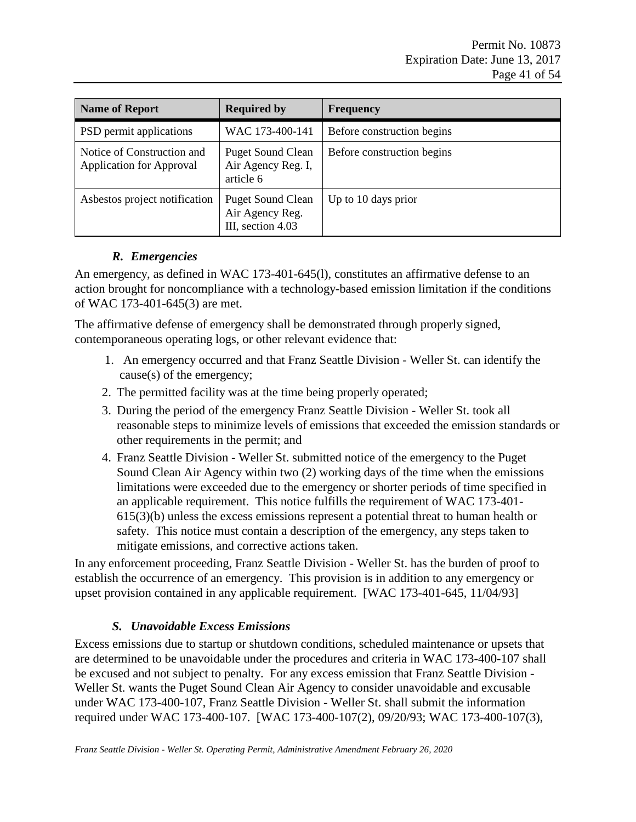| <b>Name of Report</b>                                         | <b>Required by</b>                                               | <b>Frequency</b>           |
|---------------------------------------------------------------|------------------------------------------------------------------|----------------------------|
| PSD permit applications                                       | WAC 173-400-141                                                  | Before construction begins |
| Notice of Construction and<br><b>Application for Approval</b> | <b>Puget Sound Clean</b><br>Air Agency Reg. I,<br>article 6      | Before construction begins |
| Asbestos project notification                                 | <b>Puget Sound Clean</b><br>Air Agency Reg.<br>III, section 4.03 | Up to 10 days prior        |

### *R. Emergencies*

<span id="page-40-0"></span>An emergency, as defined in WAC 173-401-645(l), constitutes an affirmative defense to an action brought for noncompliance with a technology-based emission limitation if the conditions of WAC 173-401-645(3) are met.

The affirmative defense of emergency shall be demonstrated through properly signed, contemporaneous operating logs, or other relevant evidence that:

- 1. An emergency occurred and that Franz Seattle Division Weller St. can identify the cause(s) of the emergency;
- 2. The permitted facility was at the time being properly operated;
- 3. During the period of the emergency Franz Seattle Division Weller St. took all reasonable steps to minimize levels of emissions that exceeded the emission standards or other requirements in the permit; and
- 4. Franz Seattle Division Weller St. submitted notice of the emergency to the Puget Sound Clean Air Agency within two (2) working days of the time when the emissions limitations were exceeded due to the emergency or shorter periods of time specified in an applicable requirement. This notice fulfills the requirement of WAC 173-401- 615(3)(b) unless the excess emissions represent a potential threat to human health or safety. This notice must contain a description of the emergency, any steps taken to mitigate emissions, and corrective actions taken.

In any enforcement proceeding, Franz Seattle Division - Weller St. has the burden of proof to establish the occurrence of an emergency. This provision is in addition to any emergency or upset provision contained in any applicable requirement. [WAC 173-401-645, 11/04/93]

#### *S. Unavoidable Excess Emissions*

<span id="page-40-1"></span>Excess emissions due to startup or shutdown conditions, scheduled maintenance or upsets that are determined to be unavoidable under the procedures and criteria in WAC 173-400-107 shall be excused and not subject to penalty. For any excess emission that Franz Seattle Division - Weller St. wants the Puget Sound Clean Air Agency to consider unavoidable and excusable under WAC 173-400-107, Franz Seattle Division - Weller St. shall submit the information required under WAC 173-400-107. [WAC 173-400-107(2), 09/20/93; WAC 173-400-107(3),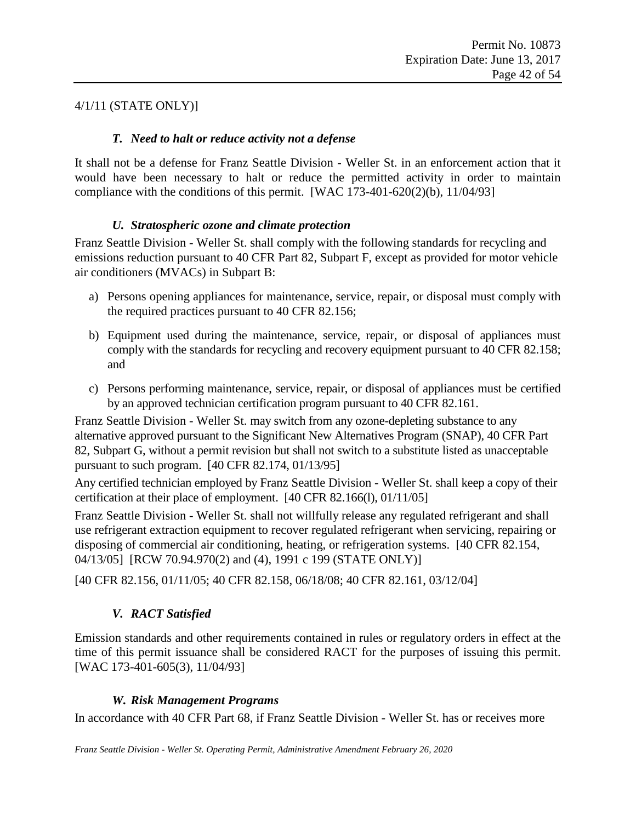#### <span id="page-41-0"></span>4/1/11 (STATE ONLY)]

#### *T. Need to halt or reduce activity not a defense*

It shall not be a defense for Franz Seattle Division - Weller St. in an enforcement action that it would have been necessary to halt or reduce the permitted activity in order to maintain compliance with the conditions of this permit. [WAC 173-401-620(2)(b),  $11/04/93$ ]

#### *U. Stratospheric ozone and climate protection*

<span id="page-41-1"></span>Franz Seattle Division - Weller St. shall comply with the following standards for recycling and emissions reduction pursuant to 40 CFR Part 82, Subpart F, except as provided for motor vehicle air conditioners (MVACs) in Subpart B:

- a) Persons opening appliances for maintenance, service, repair, or disposal must comply with the required practices pursuant to 40 CFR 82.156;
- b) Equipment used during the maintenance, service, repair, or disposal of appliances must comply with the standards for recycling and recovery equipment pursuant to 40 CFR 82.158; and
- c) Persons performing maintenance, service, repair, or disposal of appliances must be certified by an approved technician certification program pursuant to 40 CFR 82.161.

Franz Seattle Division - Weller St. may switch from any ozone-depleting substance to any alternative approved pursuant to the Significant New Alternatives Program (SNAP), 40 CFR Part 82, Subpart G, without a permit revision but shall not switch to a substitute listed as unacceptable pursuant to such program. [40 CFR 82.174, 01/13/95]

Any certified technician employed by Franz Seattle Division - Weller St. shall keep a copy of their certification at their place of employment. [40 CFR 82.166(l), 01/11/05]

Franz Seattle Division - Weller St. shall not willfully release any regulated refrigerant and shall use refrigerant extraction equipment to recover regulated refrigerant when servicing, repairing or disposing of commercial air conditioning, heating, or refrigeration systems. [40 CFR 82.154, 04/13/05] [RCW 70.94.970(2) and (4), 1991 c 199 (STATE ONLY)]

<span id="page-41-2"></span>[40 CFR 82.156, 01/11/05; 40 CFR 82.158, 06/18/08; 40 CFR 82.161, 03/12/04]

### *V. RACT Satisfied*

Emission standards and other requirements contained in rules or regulatory orders in effect at the time of this permit issuance shall be considered RACT for the purposes of issuing this permit. [WAC 173-401-605(3), 11/04/93]

#### *W. Risk Management Programs*

<span id="page-41-3"></span>In accordance with 40 CFR Part 68, if Franz Seattle Division - Weller St. has or receives more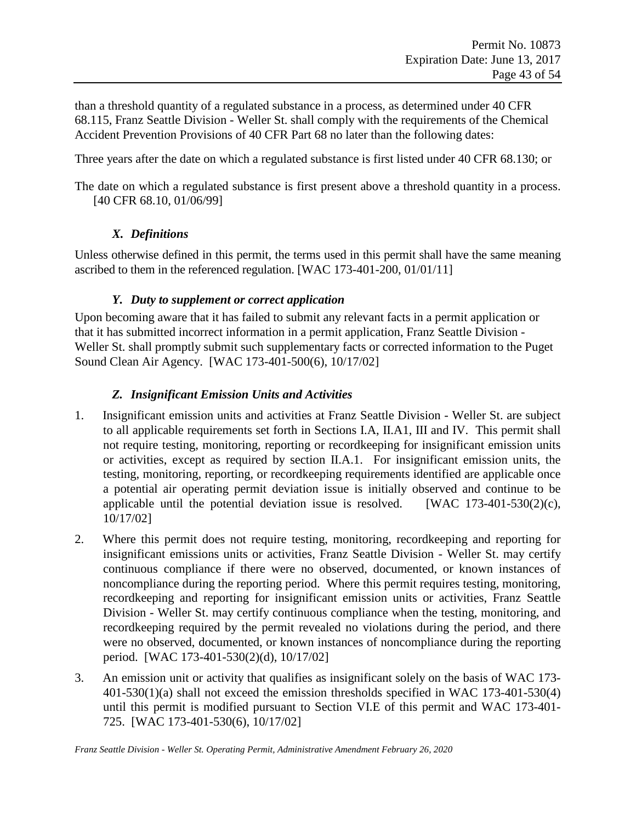than a threshold quantity of a regulated substance in a process, as determined under 40 CFR 68.115, Franz Seattle Division - Weller St. shall comply with the requirements of the Chemical Accident Prevention Provisions of 40 CFR Part 68 no later than the following dates:

Three years after the date on which a regulated substance is first listed under 40 CFR 68.130; or

<span id="page-42-0"></span>The date on which a regulated substance is first present above a threshold quantity in a process. [40 CFR 68.10, 01/06/99]

#### *X. Definitions*

Unless otherwise defined in this permit, the terms used in this permit shall have the same meaning ascribed to them in the referenced regulation. [WAC 173-401-200, 01/01/11]

#### *Y. Duty to supplement or correct application*

<span id="page-42-1"></span>Upon becoming aware that it has failed to submit any relevant facts in a permit application or that it has submitted incorrect information in a permit application, Franz Seattle Division - Weller St. shall promptly submit such supplementary facts or corrected information to the Puget Sound Clean Air Agency. [WAC 173-401-500(6), 10/17/02]

### *Z. Insignificant Emission Units and Activities*

- <span id="page-42-2"></span>1. Insignificant emission units and activities at Franz Seattle Division - Weller St. are subject to all applicable requirements set forth in Sections I.A, II.A1, III and IV. This permit shall not require testing, monitoring, reporting or recordkeeping for insignificant emission units or activities, except as required by section II.A.1. For insignificant emission units, the testing, monitoring, reporting, or recordkeeping requirements identified are applicable once a potential air operating permit deviation issue is initially observed and continue to be applicable until the potential deviation issue is resolved. [WAC  $173-401-530(2)(c)$ , 10/17/02]
- 2. Where this permit does not require testing, monitoring, recordkeeping and reporting for insignificant emissions units or activities, Franz Seattle Division - Weller St. may certify continuous compliance if there were no observed, documented, or known instances of noncompliance during the reporting period. Where this permit requires testing, monitoring, recordkeeping and reporting for insignificant emission units or activities, Franz Seattle Division - Weller St. may certify continuous compliance when the testing, monitoring, and recordkeeping required by the permit revealed no violations during the period, and there were no observed, documented, or known instances of noncompliance during the reporting period. [WAC 173-401-530(2)(d), 10/17/02]
- 3. An emission unit or activity that qualifies as insignificant solely on the basis of WAC 173- 401-530(1)(a) shall not exceed the emission thresholds specified in WAC 173-401-530(4) until this permit is modified pursuant to Section VI.E of this permit and WAC 173-401- 725. [WAC 173-401-530(6), 10/17/02]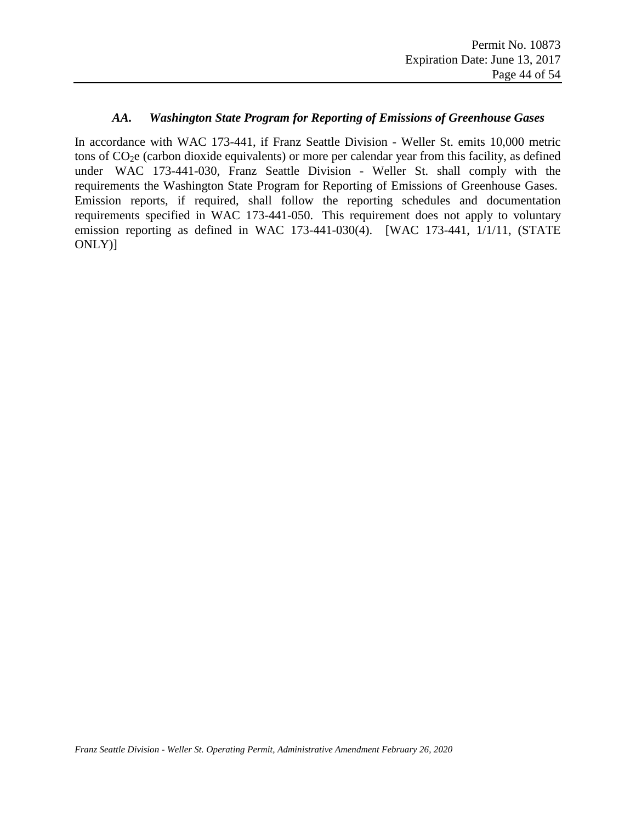#### *AA. Washington State Program for Reporting of Emissions of Greenhouse Gases*

<span id="page-43-0"></span>In accordance with WAC 173-441, if Franz Seattle Division - Weller St. emits 10,000 metric tons of  $CO<sub>2</sub>e$  (carbon dioxide equivalents) or more per calendar year from this facility, as defined under WAC 173-441-030, Franz Seattle Division - Weller St. shall comply with the requirements the Washington State Program for Reporting of Emissions of Greenhouse Gases. Emission reports, if required, shall follow the reporting schedules and documentation requirements specified in WAC 173-441-050. This requirement does not apply to voluntary emission reporting as defined in WAC 173-441-030(4). [WAC 173-441, 1/1/11, (STATE ONLY)]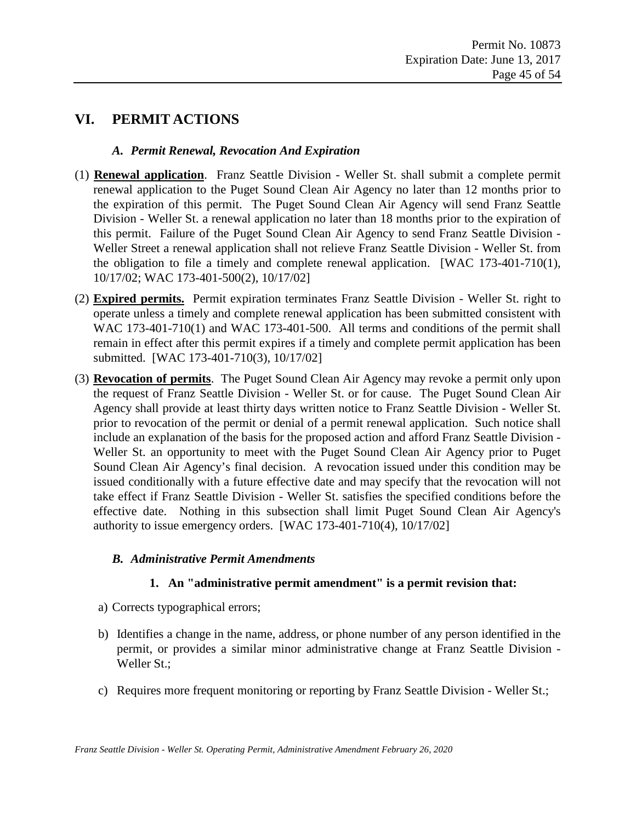### <span id="page-44-1"></span><span id="page-44-0"></span>**VI. PERMIT ACTIONS**

#### *A. Permit Renewal, Revocation And Expiration*

- (1) **Renewal application**. Franz Seattle Division Weller St. shall submit a complete permit renewal application to the Puget Sound Clean Air Agency no later than 12 months prior to the expiration of this permit. The Puget Sound Clean Air Agency will send Franz Seattle Division - Weller St. a renewal application no later than 18 months prior to the expiration of this permit. Failure of the Puget Sound Clean Air Agency to send Franz Seattle Division - Weller Street a renewal application shall not relieve Franz Seattle Division - Weller St. from the obligation to file a timely and complete renewal application. [WAC 173-401-710(1), 10/17/02; WAC 173-401-500(2), 10/17/02]
- (2) **Expired permits.** Permit expiration terminates Franz Seattle Division Weller St. right to operate unless a timely and complete renewal application has been submitted consistent with WAC 173-401-710(1) and WAC 173-401-500. All terms and conditions of the permit shall remain in effect after this permit expires if a timely and complete permit application has been submitted. [WAC 173-401-710(3), 10/17/02]
- (3) **Revocation of permits**. The Puget Sound Clean Air Agency may revoke a permit only upon the request of Franz Seattle Division - Weller St. or for cause. The Puget Sound Clean Air Agency shall provide at least thirty days written notice to Franz Seattle Division - Weller St. prior to revocation of the permit or denial of a permit renewal application. Such notice shall include an explanation of the basis for the proposed action and afford Franz Seattle Division - Weller St. an opportunity to meet with the Puget Sound Clean Air Agency prior to Puget Sound Clean Air Agency's final decision. A revocation issued under this condition may be issued conditionally with a future effective date and may specify that the revocation will not take effect if Franz Seattle Division - Weller St. satisfies the specified conditions before the effective date. Nothing in this subsection shall limit Puget Sound Clean Air Agency's authority to issue emergency orders. [WAC 173-401-710(4), 10/17/02]

#### <span id="page-44-2"></span>*B. Administrative Permit Amendments*

#### **1. An "administrative permit amendment" is a permit revision that:**

- a) Corrects typographical errors;
- b) Identifies a change in the name, address, or phone number of any person identified in the permit, or provides a similar minor administrative change at Franz Seattle Division - Weller St.;
- c) Requires more frequent monitoring or reporting by Franz Seattle Division Weller St.;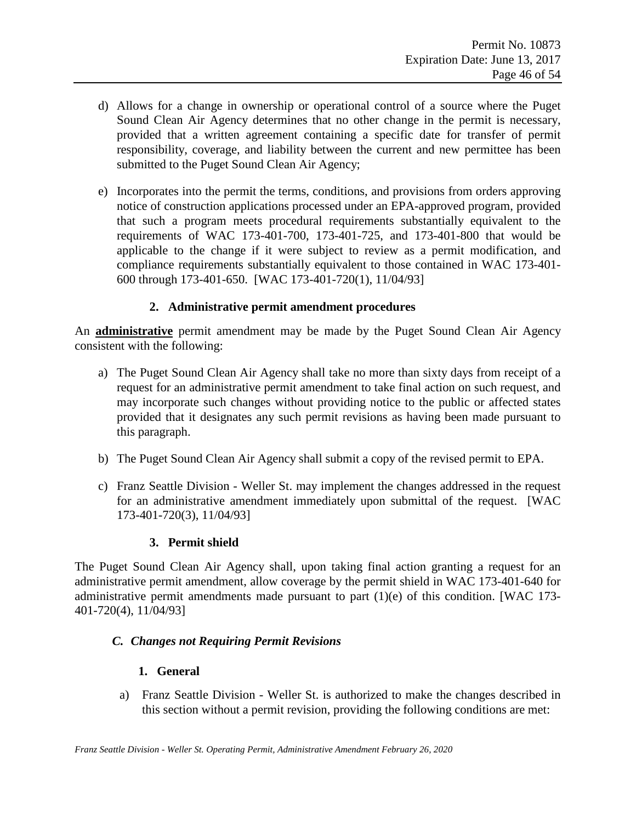- d) Allows for a change in ownership or operational control of a source where the Puget Sound Clean Air Agency determines that no other change in the permit is necessary, provided that a written agreement containing a specific date for transfer of permit responsibility, coverage, and liability between the current and new permittee has been submitted to the Puget Sound Clean Air Agency;
- e) Incorporates into the permit the terms, conditions, and provisions from orders approving notice of construction applications processed under an EPA-approved program, provided that such a program meets procedural requirements substantially equivalent to the requirements of WAC 173-401-700, 173-401-725, and 173-401-800 that would be applicable to the change if it were subject to review as a permit modification, and compliance requirements substantially equivalent to those contained in WAC 173-401- 600 through 173-401-650. [WAC 173-401-720(1), 11/04/93]

#### **2. Administrative permit amendment procedures**

An **administrative** permit amendment may be made by the Puget Sound Clean Air Agency consistent with the following:

- a) The Puget Sound Clean Air Agency shall take no more than sixty days from receipt of a request for an administrative permit amendment to take final action on such request, and may incorporate such changes without providing notice to the public or affected states provided that it designates any such permit revisions as having been made pursuant to this paragraph.
- b) The Puget Sound Clean Air Agency shall submit a copy of the revised permit to EPA.
- c) Franz Seattle Division Weller St. may implement the changes addressed in the request for an administrative amendment immediately upon submittal of the request. [WAC 173-401-720(3), 11/04/93]

#### **3. Permit shield**

The Puget Sound Clean Air Agency shall, upon taking final action granting a request for an administrative permit amendment, allow coverage by the permit shield in WAC 173-401-640 for administrative permit amendments made pursuant to part (1)(e) of this condition. [WAC 173- 401-720(4), 11/04/93]

#### <span id="page-45-0"></span>*C. Changes not Requiring Permit Revisions*

#### **1. General**

a) Franz Seattle Division - Weller St. is authorized to make the changes described in this section without a permit revision, providing the following conditions are met: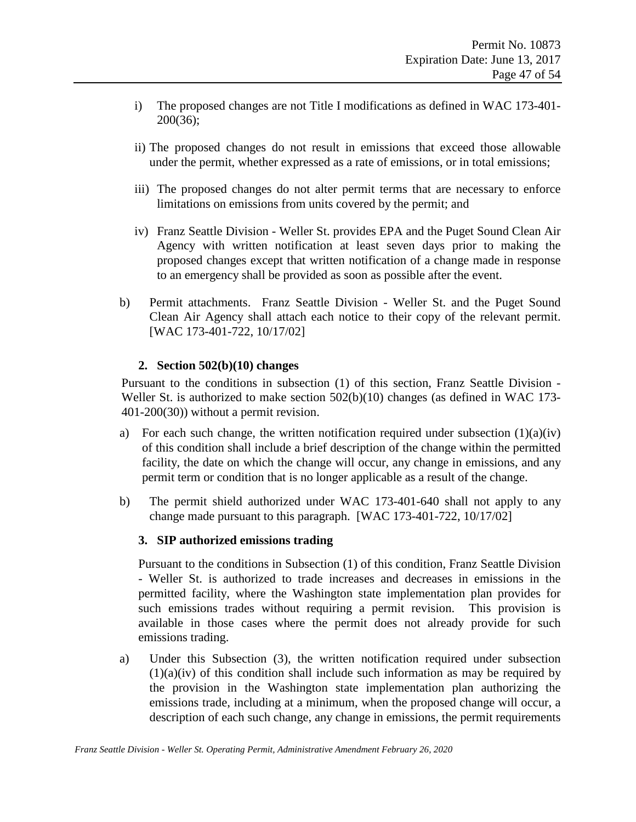- i) The proposed changes are not Title I modifications as defined in WAC 173-401- 200(36);
- ii) The proposed changes do not result in emissions that exceed those allowable under the permit, whether expressed as a rate of emissions, or in total emissions;
- iii) The proposed changes do not alter permit terms that are necessary to enforce limitations on emissions from units covered by the permit; and
- iv) Franz Seattle Division Weller St. provides EPA and the Puget Sound Clean Air Agency with written notification at least seven days prior to making the proposed changes except that written notification of a change made in response to an emergency shall be provided as soon as possible after the event.
- b) Permit attachments. Franz Seattle Division Weller St. and the Puget Sound Clean Air Agency shall attach each notice to their copy of the relevant permit. [WAC 173-401-722, 10/17/02]

#### **2. Section 502(b)(10) changes**

Pursuant to the conditions in subsection (1) of this section, Franz Seattle Division - Weller St. is authorized to make section 502(b)(10) changes (as defined in WAC 173-401-200(30)) without a permit revision.

- a) For each such change, the written notification required under subsection  $(1)(a)(iv)$ of this condition shall include a brief description of the change within the permitted facility, the date on which the change will occur, any change in emissions, and any permit term or condition that is no longer applicable as a result of the change.
- b) The permit shield authorized under WAC 173-401-640 shall not apply to any change made pursuant to this paragraph. [WAC 173-401-722, 10/17/02]

#### **3. SIP authorized emissions trading**

Pursuant to the conditions in Subsection (1) of this condition, Franz Seattle Division - Weller St. is authorized to trade increases and decreases in emissions in the permitted facility, where the Washington state implementation plan provides for such emissions trades without requiring a permit revision. This provision is available in those cases where the permit does not already provide for such emissions trading.

a) Under this Subsection (3), the written notification required under subsection  $(1)(a)(iv)$  of this condition shall include such information as may be required by the provision in the Washington state implementation plan authorizing the emissions trade, including at a minimum, when the proposed change will occur, a description of each such change, any change in emissions, the permit requirements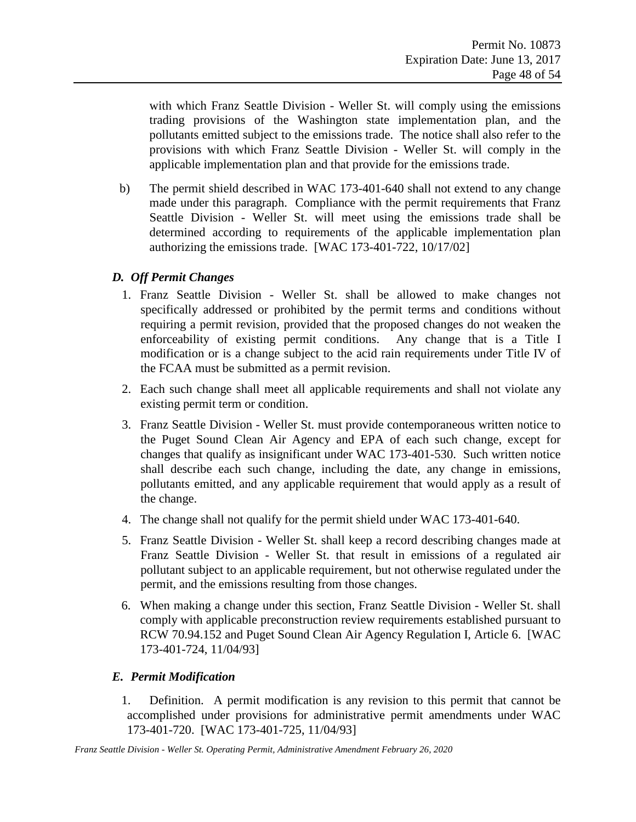with which Franz Seattle Division - Weller St. will comply using the emissions trading provisions of the Washington state implementation plan, and the pollutants emitted subject to the emissions trade. The notice shall also refer to the provisions with which Franz Seattle Division - Weller St. will comply in the applicable implementation plan and that provide for the emissions trade.

b) The permit shield described in WAC 173-401-640 shall not extend to any change made under this paragraph. Compliance with the permit requirements that Franz Seattle Division - Weller St. will meet using the emissions trade shall be determined according to requirements of the applicable implementation plan authorizing the emissions trade. [WAC 173-401-722, 10/17/02]

#### <span id="page-47-0"></span>*D. Off Permit Changes*

- 1. Franz Seattle Division Weller St. shall be allowed to make changes not specifically addressed or prohibited by the permit terms and conditions without requiring a permit revision, provided that the proposed changes do not weaken the enforceability of existing permit conditions. Any change that is a Title I modification or is a change subject to the acid rain requirements under Title IV of the FCAA must be submitted as a permit revision.
- 2. Each such change shall meet all applicable requirements and shall not violate any existing permit term or condition.
- 3. Franz Seattle Division Weller St. must provide contemporaneous written notice to the Puget Sound Clean Air Agency and EPA of each such change, except for changes that qualify as insignificant under WAC 173-401-530. Such written notice shall describe each such change, including the date, any change in emissions, pollutants emitted, and any applicable requirement that would apply as a result of the change.
- 4. The change shall not qualify for the permit shield under WAC 173-401-640.
- 5. Franz Seattle Division Weller St. shall keep a record describing changes made at Franz Seattle Division - Weller St. that result in emissions of a regulated air pollutant subject to an applicable requirement, but not otherwise regulated under the permit, and the emissions resulting from those changes.
- 6. When making a change under this section, Franz Seattle Division Weller St. shall comply with applicable preconstruction review requirements established pursuant to RCW 70.94.152 and Puget Sound Clean Air Agency Regulation I, Article 6. [WAC 173-401-724, 11/04/93]

#### <span id="page-47-1"></span>*E. Permit Modification*

1. Definition. A permit modification is any revision to this permit that cannot be accomplished under provisions for administrative permit amendments under WAC 173-401-720. [WAC 173-401-725, 11/04/93]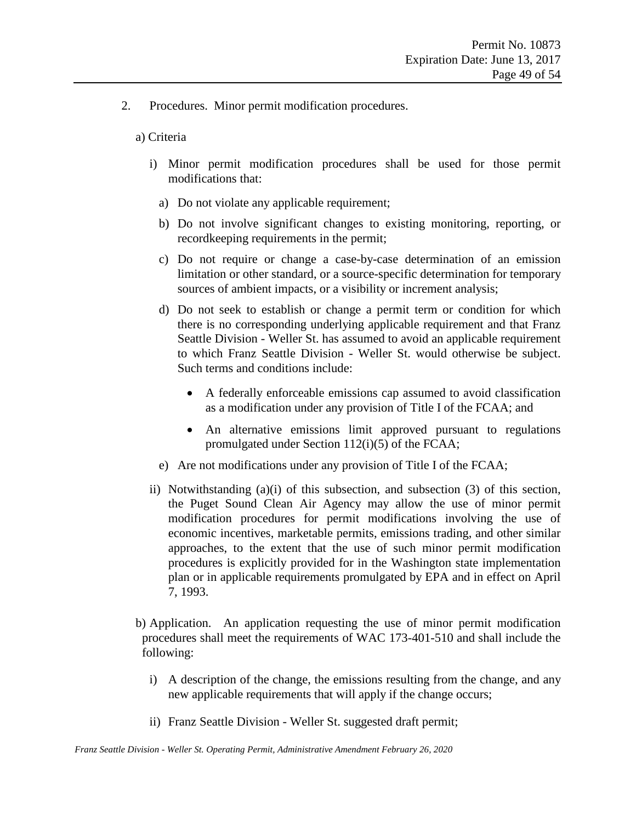2. Procedures. Minor permit modification procedures.

a) Criteria

- i) Minor permit modification procedures shall be used for those permit modifications that:
	- a) Do not violate any applicable requirement;
	- b) Do not involve significant changes to existing monitoring, reporting, or recordkeeping requirements in the permit;
	- c) Do not require or change a case-by-case determination of an emission limitation or other standard, or a source-specific determination for temporary sources of ambient impacts, or a visibility or increment analysis;
	- d) Do not seek to establish or change a permit term or condition for which there is no corresponding underlying applicable requirement and that Franz Seattle Division - Weller St. has assumed to avoid an applicable requirement to which Franz Seattle Division - Weller St. would otherwise be subject. Such terms and conditions include:
		- A federally enforceable emissions cap assumed to avoid classification as a modification under any provision of Title I of the FCAA; and
		- An alternative emissions limit approved pursuant to regulations promulgated under Section 112(i)(5) of the FCAA;
	- e) Are not modifications under any provision of Title I of the FCAA;
- ii) Notwithstanding (a)(i) of this subsection, and subsection (3) of this section, the Puget Sound Clean Air Agency may allow the use of minor permit modification procedures for permit modifications involving the use of economic incentives, marketable permits, emissions trading, and other similar approaches, to the extent that the use of such minor permit modification procedures is explicitly provided for in the Washington state implementation plan or in applicable requirements promulgated by EPA and in effect on April 7, 1993.
- b) Application. An application requesting the use of minor permit modification procedures shall meet the requirements of WAC 173-401-510 and shall include the following:
	- i) A description of the change, the emissions resulting from the change, and any new applicable requirements that will apply if the change occurs;
	- ii) Franz Seattle Division Weller St. suggested draft permit;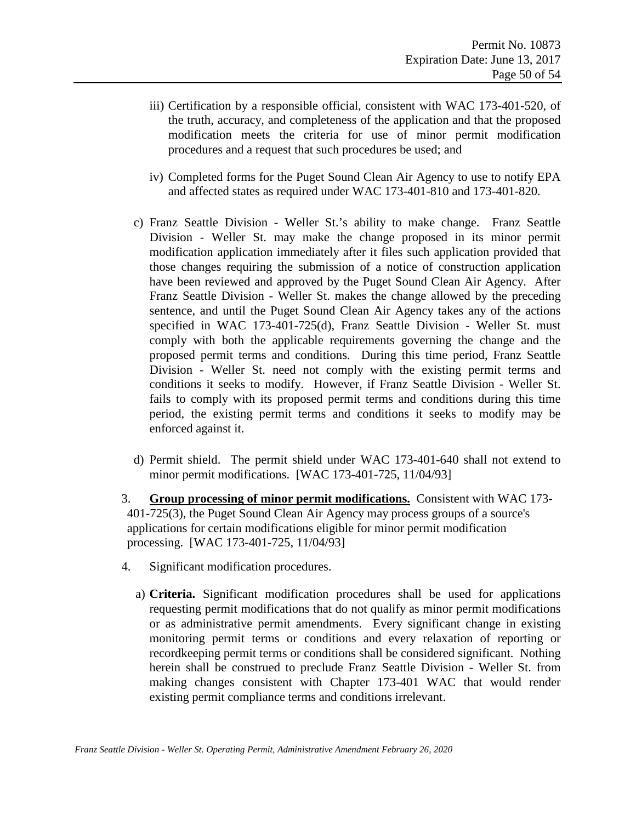- iii) Certification by a responsible official, consistent with WAC 173-401-520, of the truth, accuracy, and completeness of the application and that the proposed modification meets the criteria for use of minor permit modification procedures and a request that such procedures be used; and
- iv) Completed forms for the Puget Sound Clean Air Agency to use to notify EPA and affected states as required under WAC 173-401-810 and 173-401-820.
- c) Franz Seattle Division Weller St.'s ability to make change. Franz Seattle Division - Weller St. may make the change proposed in its minor permit modification application immediately after it files such application provided that those changes requiring the submission of a notice of construction application have been reviewed and approved by the Puget Sound Clean Air Agency. After Franz Seattle Division - Weller St. makes the change allowed by the preceding sentence, and until the Puget Sound Clean Air Agency takes any of the actions specified in WAC 173-401-725(d), Franz Seattle Division - Weller St. must comply with both the applicable requirements governing the change and the proposed permit terms and conditions. During this time period, Franz Seattle Division - Weller St. need not comply with the existing permit terms and conditions it seeks to modify. However, if Franz Seattle Division - Weller St. fails to comply with its proposed permit terms and conditions during this time period, the existing permit terms and conditions it seeks to modify may be enforced against it.
- d) Permit shield. The permit shield under WAC 173-401-640 shall not extend to minor permit modifications. [WAC 173-401-725, 11/04/93]
- 3. **Group processing of minor permit modifications.** Consistent with WAC 173- 401-725(3), the Puget Sound Clean Air Agency may process groups of a source's applications for certain modifications eligible for minor permit modification processing. [WAC 173-401-725, 11/04/93]
- 4. Significant modification procedures.
	- a) **Criteria.** Significant modification procedures shall be used for applications requesting permit modifications that do not qualify as minor permit modifications or as administrative permit amendments. Every significant change in existing monitoring permit terms or conditions and every relaxation of reporting or recordkeeping permit terms or conditions shall be considered significant. Nothing herein shall be construed to preclude Franz Seattle Division - Weller St. from making changes consistent with Chapter 173-401 WAC that would render existing permit compliance terms and conditions irrelevant.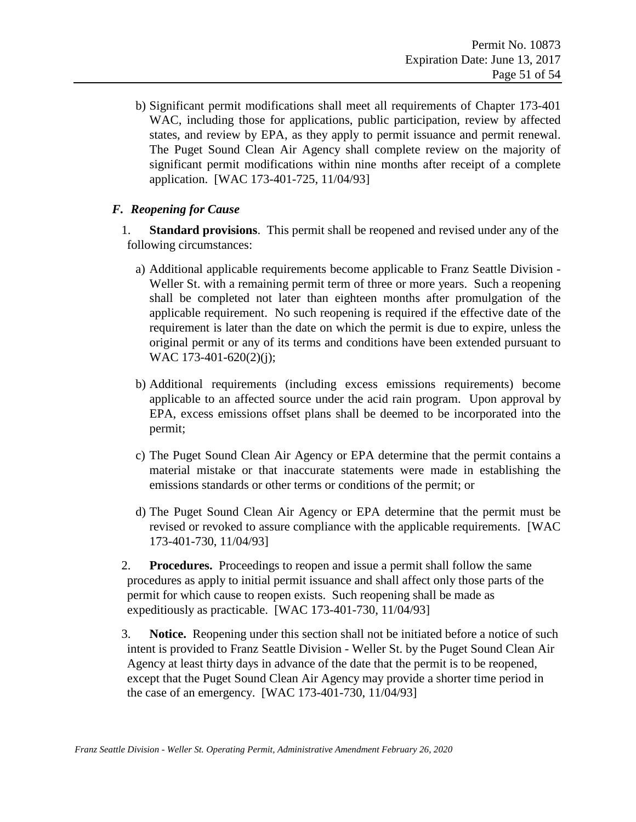b) Significant permit modifications shall meet all requirements of Chapter 173-401 WAC, including those for applications, public participation, review by affected states, and review by EPA, as they apply to permit issuance and permit renewal. The Puget Sound Clean Air Agency shall complete review on the majority of significant permit modifications within nine months after receipt of a complete application. [WAC 173-401-725, 11/04/93]

#### <span id="page-50-0"></span>*F. Reopening for Cause*

- 1. **Standard provisions**. This permit shall be reopened and revised under any of the following circumstances:
	- a) Additional applicable requirements become applicable to Franz Seattle Division Weller St. with a remaining permit term of three or more years. Such a reopening shall be completed not later than eighteen months after promulgation of the applicable requirement. No such reopening is required if the effective date of the requirement is later than the date on which the permit is due to expire, unless the original permit or any of its terms and conditions have been extended pursuant to WAC 173-401-620(2)(j);
	- b) Additional requirements (including excess emissions requirements) become applicable to an affected source under the acid rain program. Upon approval by EPA, excess emissions offset plans shall be deemed to be incorporated into the permit;
	- c) The Puget Sound Clean Air Agency or EPA determine that the permit contains a material mistake or that inaccurate statements were made in establishing the emissions standards or other terms or conditions of the permit; or
	- d) The Puget Sound Clean Air Agency or EPA determine that the permit must be revised or revoked to assure compliance with the applicable requirements. [WAC 173-401-730, 11/04/93]
- 2. **Procedures.** Proceedings to reopen and issue a permit shall follow the same procedures as apply to initial permit issuance and shall affect only those parts of the permit for which cause to reopen exists. Such reopening shall be made as expeditiously as practicable. [WAC 173-401-730, 11/04/93]
- 3. **Notice.** Reopening under this section shall not be initiated before a notice of such intent is provided to Franz Seattle Division - Weller St. by the Puget Sound Clean Air Agency at least thirty days in advance of the date that the permit is to be reopened, except that the Puget Sound Clean Air Agency may provide a shorter time period in the case of an emergency. [WAC 173-401-730, 11/04/93]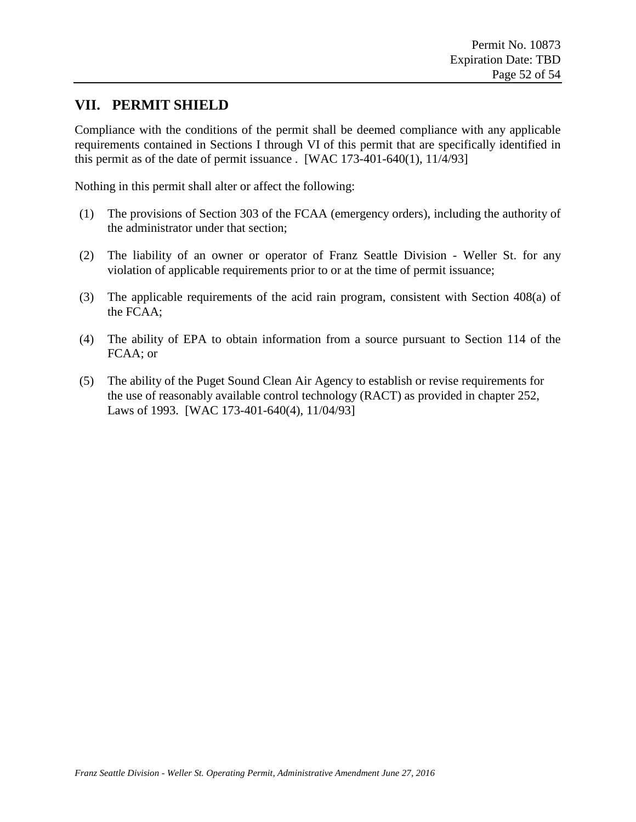### <span id="page-51-0"></span>**VII. PERMIT SHIELD**

Compliance with the conditions of the permit shall be deemed compliance with any applicable requirements contained in Sections I through VI of this permit that are specifically identified in this permit as of the date of permit issuance . [WAC  $173-401-640(1)$ ,  $11/4/93$ ]

Nothing in this permit shall alter or affect the following:

- (1) The provisions of Section 303 of the FCAA (emergency orders), including the authority of the administrator under that section;
- (2) The liability of an owner or operator of Franz Seattle Division Weller St. for any violation of applicable requirements prior to or at the time of permit issuance;
- (3) The applicable requirements of the acid rain program, consistent with Section 408(a) of the FCAA;
- (4) The ability of EPA to obtain information from a source pursuant to Section 114 of the FCAA; or
- (5) The ability of the Puget Sound Clean Air Agency to establish or revise requirements for the use of reasonably available control technology (RACT) as provided in chapter 252, Laws of 1993. [WAC 173-401-640(4), 11/04/93]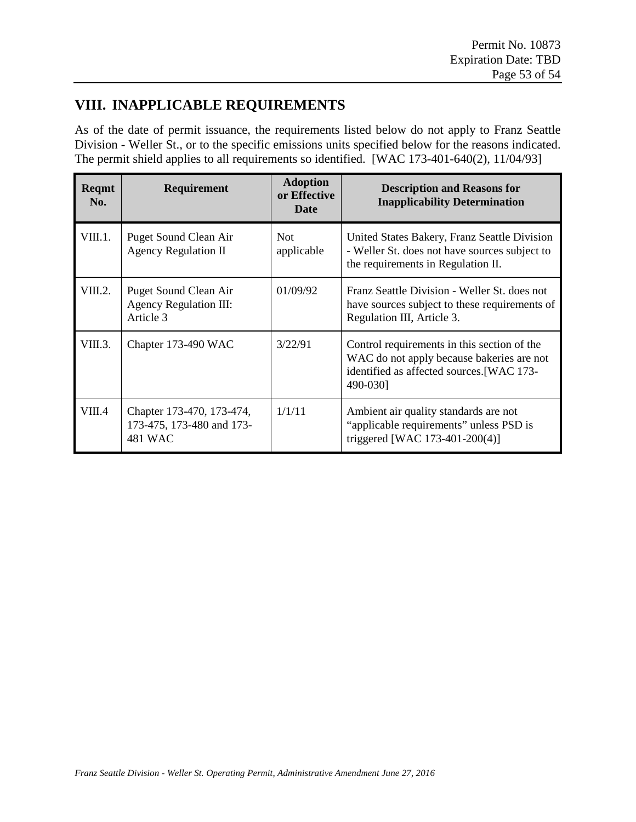## <span id="page-52-0"></span>**VIII. INAPPLICABLE REQUIREMENTS**

As of the date of permit issuance, the requirements listed below do not apply to Franz Seattle Division - Weller St., or to the specific emissions units specified below for the reasons indicated. The permit shield applies to all requirements so identified. [WAC 173-401-640(2), 11/04/93]

| Reqmt<br>No. | Requirement                                                         | <b>Adoption</b><br>or Effective<br>Date | <b>Description and Reasons for</b><br><b>Inapplicability Determination</b>                                                                        |
|--------------|---------------------------------------------------------------------|-----------------------------------------|---------------------------------------------------------------------------------------------------------------------------------------------------|
| VIII.1.      | Puget Sound Clean Air<br><b>Agency Regulation II</b>                | <b>Not</b><br>applicable                | United States Bakery, Franz Seattle Division<br>- Weller St. does not have sources subject to<br>the requirements in Regulation II.               |
| VIII.2.      | Puget Sound Clean Air<br><b>Agency Regulation III:</b><br>Article 3 | 01/09/92                                | Franz Seattle Division - Weller St. does not<br>have sources subject to these requirements of<br>Regulation III, Article 3.                       |
| VIII.3.      | Chapter 173-490 WAC                                                 | 3/22/91                                 | Control requirements in this section of the<br>WAC do not apply because bakeries are not<br>identified as affected sources. [WAC 173-<br>490-030] |
| VIII.4       | Chapter 173-470, 173-474,<br>173-475, 173-480 and 173-<br>481 WAC   | 1/1/11                                  | Ambient air quality standards are not<br>"applicable requirements" unless PSD is<br>triggered [WAC 173-401-200(4)]                                |